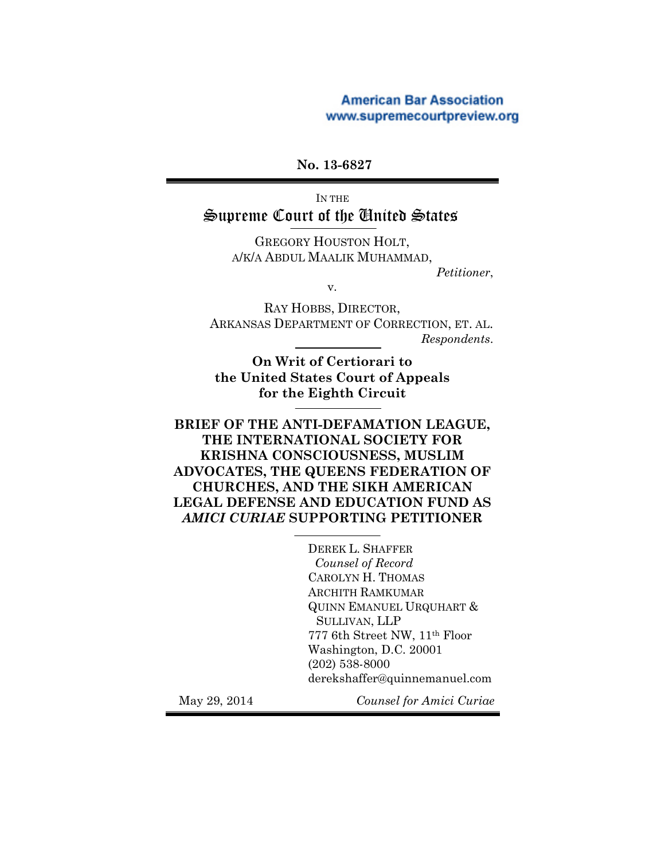## **American Bar Association** www.supremecourtpreview.org

## **No. 13-6827**

IN THE Supreme Court of the United States

> GREGORY HOUSTON HOLT, A/K/A ABDUL MAALIK MUHAMMAD,

*Petitioner*,

v.

RAY HOBBS, DIRECTOR, ARKANSAS DEPARTMENT OF CORRECTION, ET. AL. *Respondents*.

**On Writ of Certiorari to the United States Court of Appeals for the Eighth Circuit**

**BRIEF OF THE ANTI-DEFAMATION LEAGUE, THE INTERNATIONAL SOCIETY FOR KRISHNA CONSCIOUSNESS, MUSLIM ADVOCATES, THE QUEENS FEDERATION OF CHURCHES, AND THE SIKH AMERICAN LEGAL DEFENSE AND EDUCATION FUND AS**  *AMICI CURIAE* **SUPPORTING PETITIONER**

> DEREK L. SHAFFER  *Counsel of Record* CAROLYN H. THOMAS ARCHITH RAMKUMAR QUINN EMANUEL URQUHART & SULLIVAN, LLP 777 6th Street NW, 11th Floor Washington, D.C. 20001 (202) 538-8000 derekshaffer@quinnemanuel.com

May 29, 2014 *Counsel for Amici Curiae*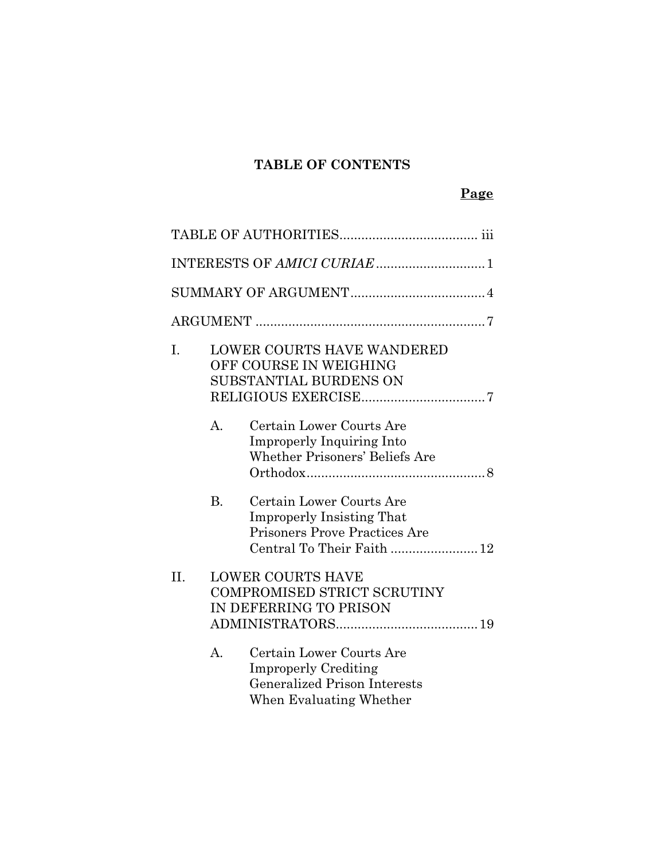## **TABLE OF CONTENTS**

| I.      |                | <b>LOWER COURTS HAVE WANDERED</b><br>OFF COURSE IN WEIGHING<br>SUBSTANTIAL BURDENS ON                                       |
|---------|----------------|-----------------------------------------------------------------------------------------------------------------------------|
|         | $\mathsf{A}$ . | Certain Lower Courts Are<br><b>Improperly Inquiring Into</b><br>Whether Prisoners' Beliefs Are                              |
|         | <b>B.</b>      | Certain Lower Courts Are<br><b>Improperly Insisting That</b><br>Prisoners Prove Practices Are<br>Central To Their Faith  12 |
| $\Pi$ . |                | <b>LOWER COURTS HAVE</b><br>COMPROMISED STRICT SCRUTINY<br>IN DEFERRING TO PRISON                                           |
|         | $A_{\cdot}$    | Certain Lower Courts Are<br><b>Improperly Crediting</b><br><b>Generalized Prison Interests</b><br>When Evaluating Whether   |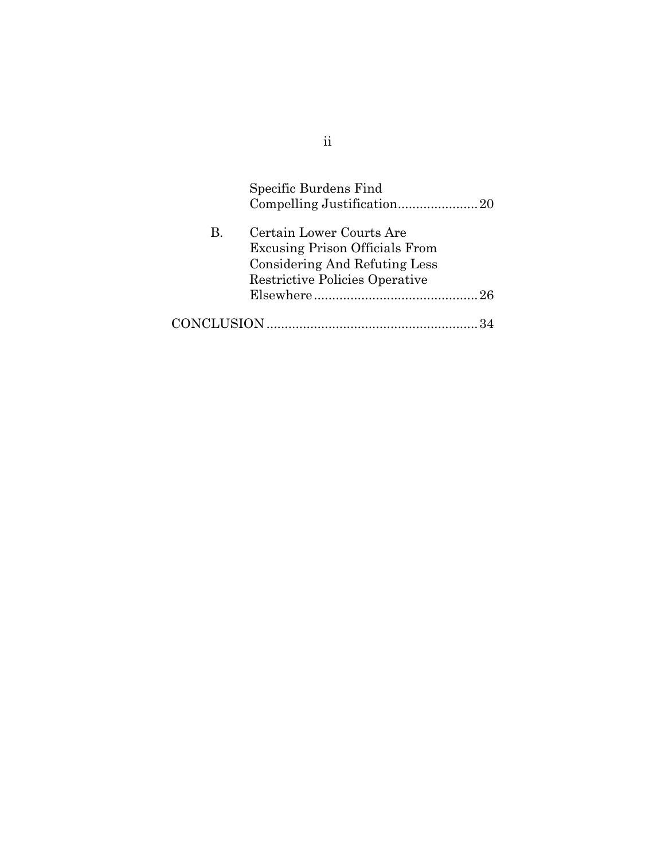|    | Specific Burdens Find                 |
|----|---------------------------------------|
|    |                                       |
| В. | Certain Lower Courts Are              |
|    | <b>Excusing Prison Officials From</b> |
|    | Considering And Refuting Less         |
|    | Restrictive Policies Operative        |
|    |                                       |
|    |                                       |

ii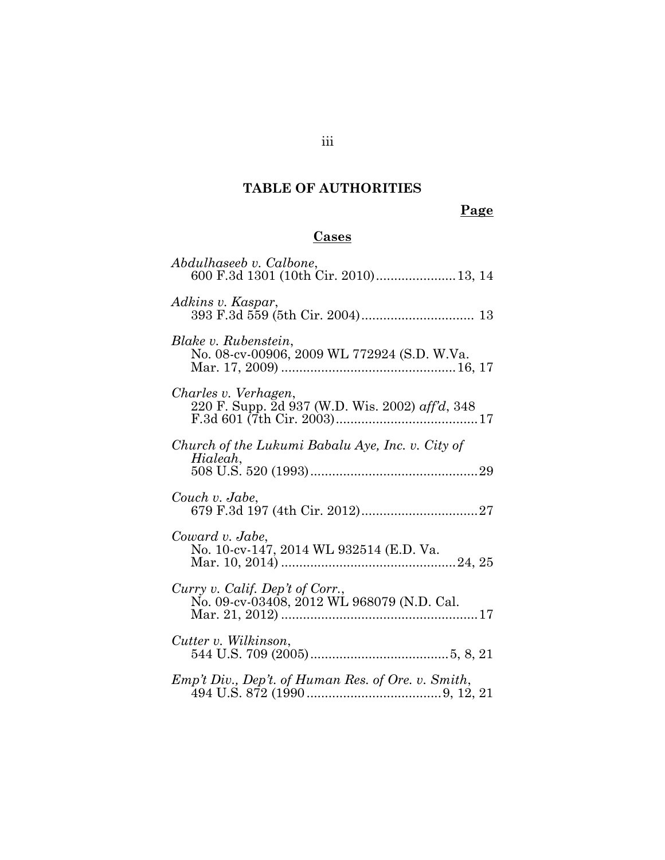# **TABLE OF AUTHORITIES**

# **Page**

## **Cases**

| Abdulhaseeb v. Calbone,<br>600 F.3d 1301 (10th Cir. 2010) 13, 14              |
|-------------------------------------------------------------------------------|
| Adkins v. Kaspar,                                                             |
| Blake v. Rubenstein,<br>No. 08-cv-00906, 2009 WL 772924 (S.D. W.Va.           |
| Charles v. Verhagen,<br>220 F. Supp. 2d 937 (W.D. Wis. 2002) aff'd, 348       |
| Church of the Lukumi Babalu Aye, Inc. v. City of<br>Hialeah,                  |
| Couch v. Jabe,                                                                |
| Coward v. Jabe,<br>No. 10-cv-147, 2014 WL 932514 (E.D. Va.                    |
| Curry v. Calif. Dep't of Corr.,<br>No. 09-cv-03408, 2012 WL 968079 (N.D. Cal. |
| Cutter v. Wilkinson,                                                          |
| Emp't Div., Dep't. of Human Res. of Ore. v. Smith,                            |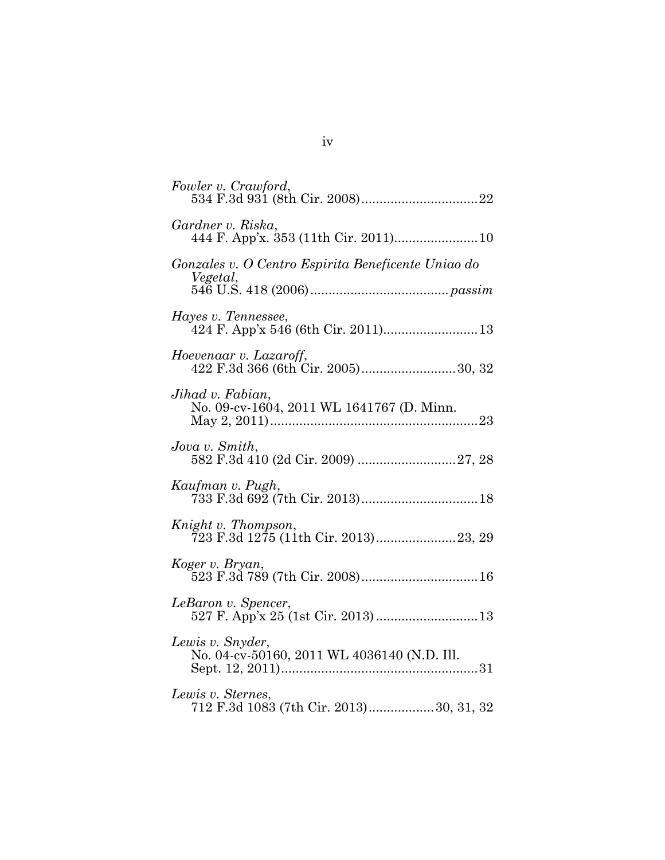| Fowler v. Crawford,                                             |
|-----------------------------------------------------------------|
| Gardner v. Riska,                                               |
| Gonzales v. O Centro Espirita Beneficente Uniao do<br>Vegetal,  |
| Hayes v. Tennessee,                                             |
| Hoevenaar v. Lazaroff,                                          |
| Jihad v. Fabian,<br>No. 09-cv-1604, 2011 WL 1641767 (D. Minn.   |
| Jova v. Smith,                                                  |
| Kaufman v. Pugh,                                                |
| Knight v. Thompson,<br>723 F.3d 1275 (11th Cir. 2013)23, 29     |
| Koger v. Bryan,                                                 |
| LeBaron v. Spencer,                                             |
| Lewis v. Snyder,<br>No. 04-cv-50160, 2011 WL 4036140 (N.D. Ill. |
| Lewis v. Sternes,<br>712 F.3d 1083 (7th Cir. 2013)30, 31, 32    |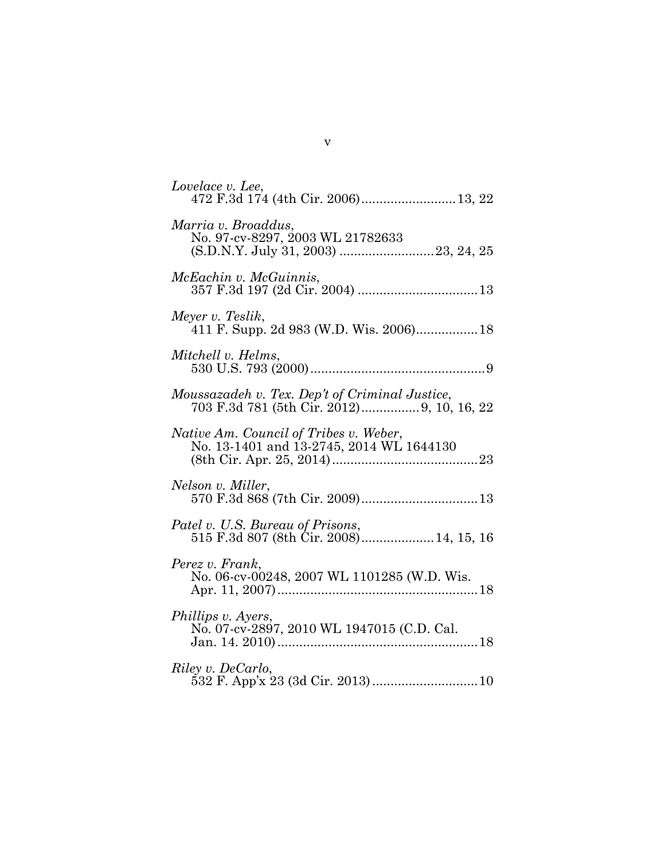| Lovelace v. Lee,<br>472 F.3d 174 (4th Cir. 2006) 13, 22                                      |
|----------------------------------------------------------------------------------------------|
| Marria v. Broaddus,<br>No. 97-cv-8297, 2003 WL 21782633                                      |
| McEachin v. McGuinnis,                                                                       |
| Meyer v. Teslik,<br>411 F. Supp. 2d 983 (W.D. Wis. 2006) 18                                  |
| Mitchell v. Helms,                                                                           |
| Moussazadeh v. Tex. Dep't of Criminal Justice,<br>703 F.3d 781 (5th Cir. 2012) 9, 10, 16, 22 |
| Native Am. Council of Tribes v. Weber,<br>No. 13-1401 and 13-2745, 2014 WL 1644130           |
| Nelson v. Miller,                                                                            |
| Patel v. U.S. Bureau of Prisons,                                                             |
| Perez v. Frank,<br>No. 06-cv-00248, 2007 WL 1101285 (W.D. Wis.                               |
| Phillips v. Ayers,<br>No. 07-cv-2897, 2010 WL 1947015 (C.D. Cal.                             |
| Riley v. DeCarlo,                                                                            |

v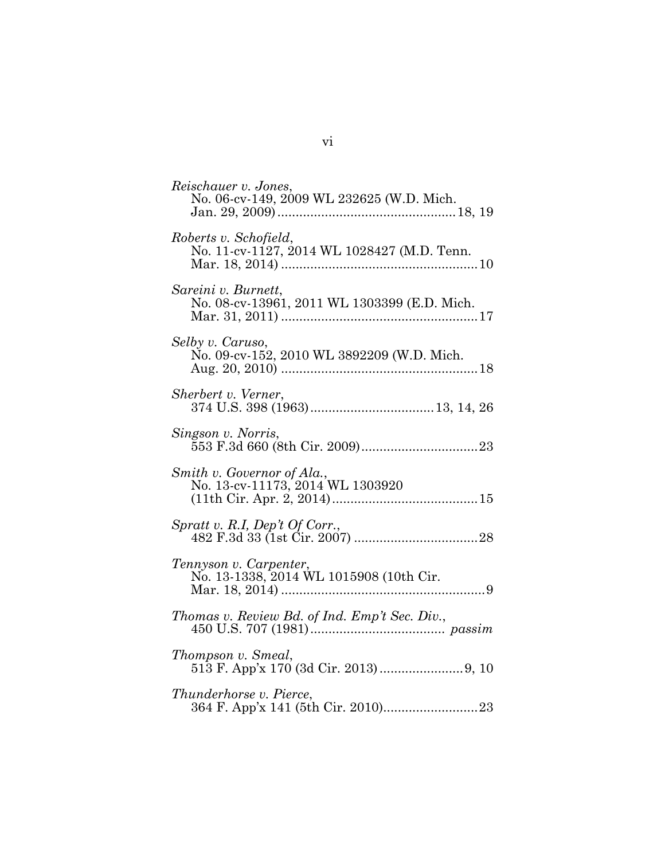| Reischauer v. Jones,<br>No. 06-cv-149, 2009 WL 232625 (W.D. Mich.    |
|----------------------------------------------------------------------|
| Roberts v. Schofield,<br>No. 11-cv-1127, 2014 WL 1028427 (M.D. Tenn. |
| Sareini v. Burnett,<br>No. 08-cv-13961, 2011 WL 1303399 (E.D. Mich.  |
| Selby v. Caruso,<br>No. 09-cv-152, 2010 WL 3892209 (W.D. Mich.       |
| Sherbert v. Verner,                                                  |
| Singson v. Norris,                                                   |
| Smith v. Governor of Ala.,<br>No. 13-cv-11173, 2014 WL 1303920       |
| Spratt v. R.I, Dep't Of Corr.,                                       |
| Tennyson v. Carpenter,<br>No. 13-1338, 2014 WL 1015908 (10th Cir.    |
| Thomas v. Review Bd. of Ind. Emp't Sec. Div.,                        |
| Thompson v. Smeal,                                                   |
| <i>Thunderhorse v. Pierce,</i>                                       |

vi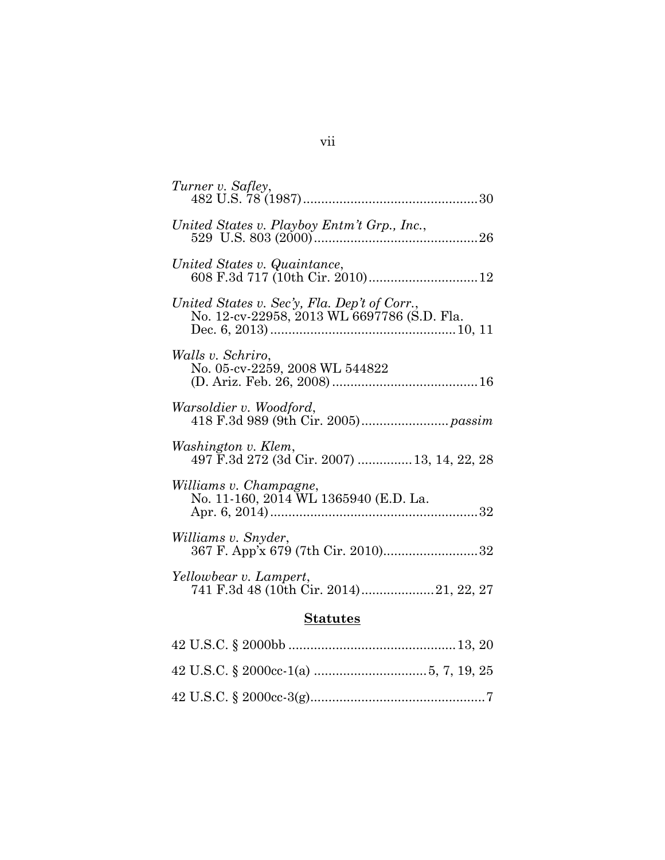| Turner v. Safley,                                                                           |
|---------------------------------------------------------------------------------------------|
| United States v. Playboy Entm't Grp., Inc.,                                                 |
| United States v. Quaintance,                                                                |
| United States v. Sec'y, Fla. Dep't of Corr.,<br>No. 12-cv-22958, 2013 WL 6697786 (S.D. Fla. |
| Walls v. Schriro,<br>No. 05-cv-2259, 2008 WL 544822                                         |
| Warsoldier v. Woodford,                                                                     |
| Washington v. Klem,<br>497 F.3d 272 (3d Cir. 2007)  13, 14, 22, 28                          |
| Williams v. Champagne,<br>No. 11-160, 2014 WL 1365940 (E.D. La.                             |
| Williams v. Snyder,<br>367 F. App'x 679 (7th Cir. 2010)32                                   |
| Yellowbear v. Lampert,<br>741 F.3d 48 (10th Cir. 2014)21, 22, 27                            |
| <b>Statutes</b>                                                                             |
|                                                                                             |
|                                                                                             |

|  |  | $\frac{1}{2}$ $\frac{1}{2}$ $\frac{1}{2}$ $\frac{1}{2}$ $\frac{1}{2}$ $\frac{1}{2}$ $\frac{1}{2}$ $\frac{1}{2}$ $\frac{1}{2}$ $\frac{1}{2}$ $\frac{1}{2}$ $\frac{1}{2}$ $\frac{1}{2}$ $\frac{1}{2}$ $\frac{1}{2}$ $\frac{1}{2}$ $\frac{1}{2}$ $\frac{1}{2}$ $\frac{1}{2}$ $\frac{1}{2}$ $\frac{1}{2}$ $\frac{1}{2}$ |
|--|--|---------------------------------------------------------------------------------------------------------------------------------------------------------------------------------------------------------------------------------------------------------------------------------------------------------------------|
|  |  |                                                                                                                                                                                                                                                                                                                     |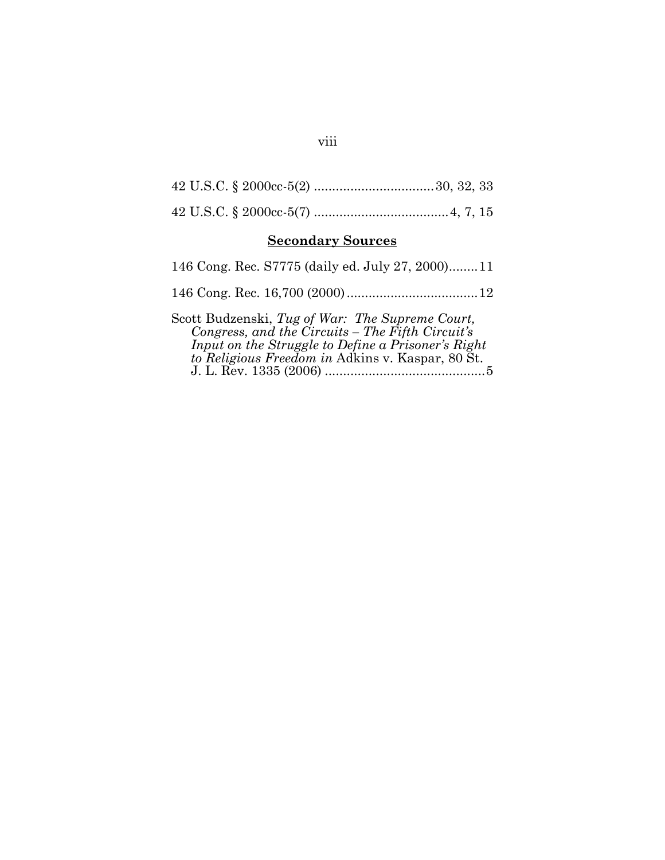| <b>Secondary Sources</b>                                                                                                                                  |
|-----------------------------------------------------------------------------------------------------------------------------------------------------------|
| 146 Cong. Rec. S7775 (daily ed. July 27, 2000)11                                                                                                          |
|                                                                                                                                                           |
| Scott Budzenski, Tug of War: The Supreme Court,<br>Congress, and the Circuits – The Fifth Circuit's<br>Input on the Struggle to Define a Prisoner's Right |

*to Religious Freedom in* Adkins v. Kaspar, 80 St. J. L. Rev. 1335 (2006) ............................................5

## viii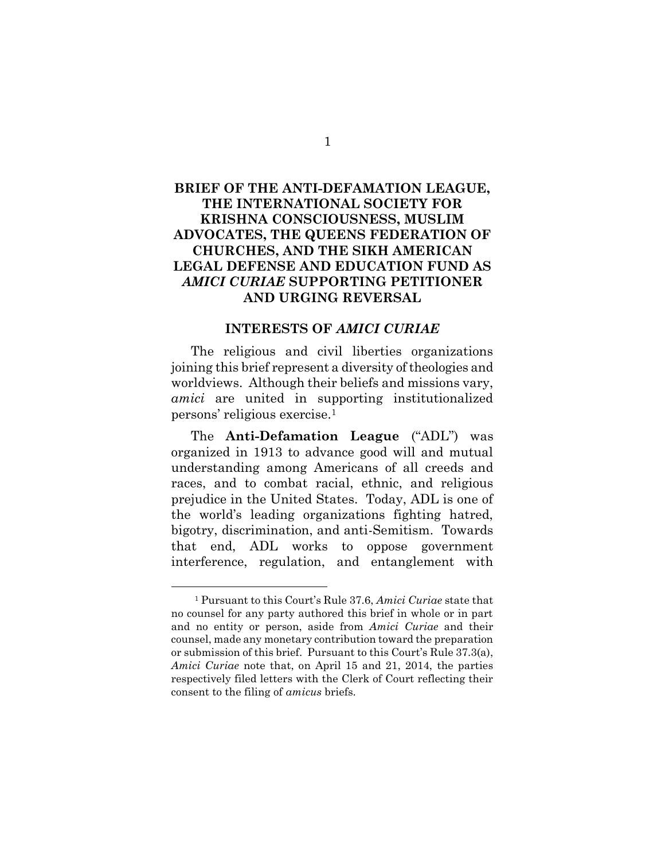## **BRIEF OF THE ANTI-DEFAMATION LEAGUE, THE INTERNATIONAL SOCIETY FOR KRISHNA CONSCIOUSNESS, MUSLIM ADVOCATES, THE QUEENS FEDERATION OF CHURCHES, AND THE SIKH AMERICAN LEGAL DEFENSE AND EDUCATION FUND AS**  *AMICI CURIAE* **SUPPORTING PETITIONER AND URGING REVERSAL**

#### **INTERESTS OF** *AMICI CURIAE*

The religious and civil liberties organizations joining this brief represent a diversity of theologies and worldviews. Although their beliefs and missions vary, *amici* are united in supporting institutionalized persons' religious exercise.<sup>1</sup>

The **Anti-Defamation League** ("ADL") was organized in 1913 to advance good will and mutual understanding among Americans of all creeds and races, and to combat racial, ethnic, and religious prejudice in the United States. Today, ADL is one of the world's leading organizations fighting hatred, bigotry, discrimination, and anti-Semitism. Towards that end, ADL works to oppose government interference, regulation, and entanglement with

<sup>1</sup> Pursuant to this Court's Rule 37.6, *Amici Curiae* state that no counsel for any party authored this brief in whole or in part and no entity or person, aside from *Amici Curiae* and their counsel, made any monetary contribution toward the preparation or submission of this brief. Pursuant to this Court's Rule 37.3(a), *Amici Curiae* note that, on April 15 and 21, 2014, the parties respectively filed letters with the Clerk of Court reflecting their consent to the filing of *amicus* briefs.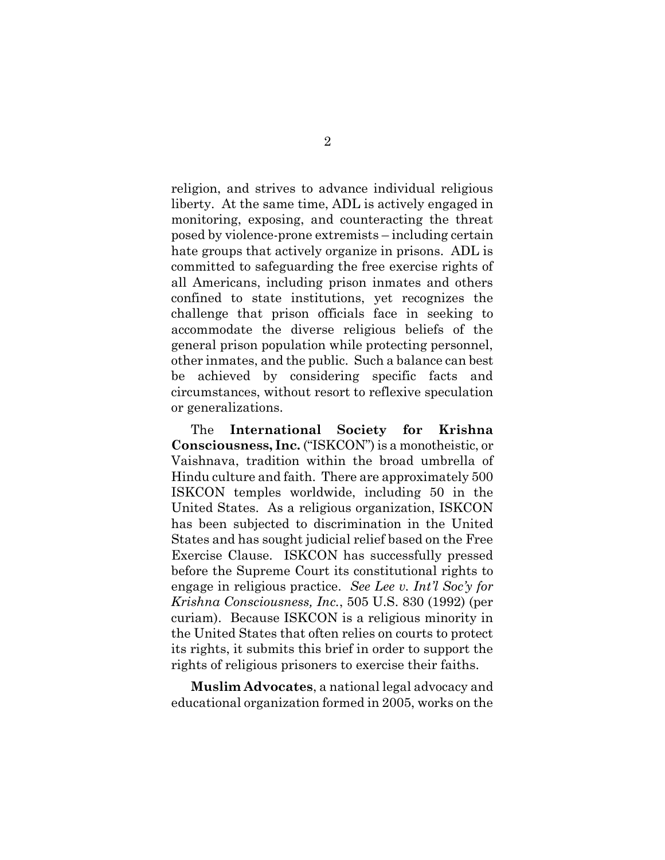religion, and strives to advance individual religious liberty. At the same time, ADL is actively engaged in monitoring, exposing, and counteracting the threat posed by violence-prone extremists – including certain hate groups that actively organize in prisons. ADL is committed to safeguarding the free exercise rights of all Americans, including prison inmates and others confined to state institutions, yet recognizes the challenge that prison officials face in seeking to accommodate the diverse religious beliefs of the general prison population while protecting personnel, other inmates, and the public. Such a balance can best be achieved by considering specific facts and circumstances, without resort to reflexive speculation or generalizations.

The **International Society for Krishna Consciousness, Inc.** ("ISKCON") is a monotheistic, or Vaishnava, tradition within the broad umbrella of Hindu culture and faith. There are approximately 500 ISKCON temples worldwide, including 50 in the United States. As a religious organization, ISKCON has been subjected to discrimination in the United States and has sought judicial relief based on the Free Exercise Clause. ISKCON has successfully pressed before the Supreme Court its constitutional rights to engage in religious practice. *See Lee v. Int'l Soc'y for Krishna Consciousness, Inc.*, 505 U.S. 830 (1992) (per curiam). Because ISKCON is a religious minority in the United States that often relies on courts to protect its rights, it submits this brief in order to support the rights of religious prisoners to exercise their faiths.

**Muslim Advocates**, a national legal advocacy and educational organization formed in 2005, works on the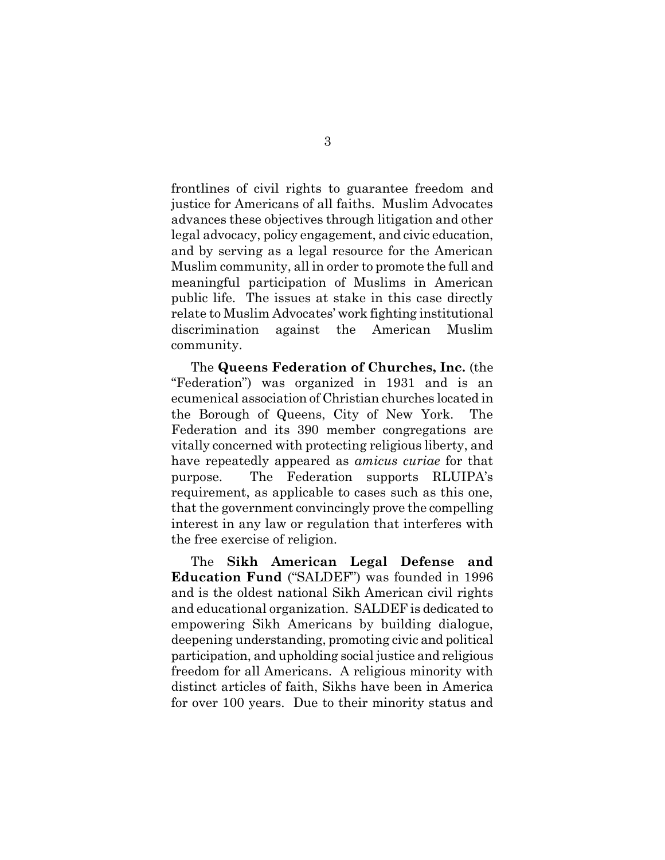frontlines of civil rights to guarantee freedom and justice for Americans of all faiths. Muslim Advocates advances these objectives through litigation and other legal advocacy, policy engagement, and civic education, and by serving as a legal resource for the American Muslim community, all in order to promote the full and meaningful participation of Muslims in American public life. The issues at stake in this case directly relate to Muslim Advocates' work fighting institutional discrimination against the American Muslim community.

The **Queens Federation of Churches, Inc.** (the "Federation") was organized in 1931 and is an ecumenical association of Christian churches located in the Borough of Queens, City of New York. The Federation and its 390 member congregations are vitally concerned with protecting religious liberty, and have repeatedly appeared as *amicus curiae* for that purpose. The Federation supports RLUIPA's requirement, as applicable to cases such as this one, that the government convincingly prove the compelling interest in any law or regulation that interferes with the free exercise of religion.

The **Sikh American Legal Defense and Education Fund** ("SALDEF") was founded in 1996 and is the oldest national Sikh American civil rights and educational organization. SALDEF is dedicated to empowering Sikh Americans by building dialogue, deepening understanding, promoting civic and political participation, and upholding social justice and religious freedom for all Americans. A religious minority with distinct articles of faith, Sikhs have been in America for over 100 years. Due to their minority status and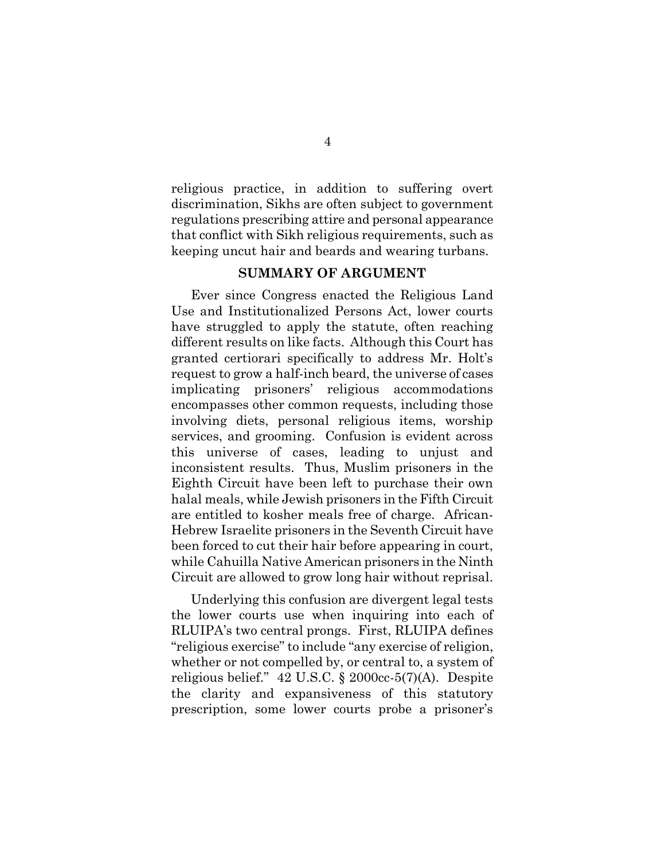religious practice, in addition to suffering overt discrimination, Sikhs are often subject to government regulations prescribing attire and personal appearance that conflict with Sikh religious requirements, such as keeping uncut hair and beards and wearing turbans.

#### **SUMMARY OF ARGUMENT**

Ever since Congress enacted the Religious Land Use and Institutionalized Persons Act, lower courts have struggled to apply the statute, often reaching different results on like facts. Although this Court has granted certiorari specifically to address Mr. Holt's request to grow a half-inch beard, the universe of cases implicating prisoners' religious accommodations encompasses other common requests, including those involving diets, personal religious items, worship services, and grooming. Confusion is evident across this universe of cases, leading to unjust and inconsistent results. Thus, Muslim prisoners in the Eighth Circuit have been left to purchase their own halal meals, while Jewish prisoners in the Fifth Circuit are entitled to kosher meals free of charge. African-Hebrew Israelite prisoners in the Seventh Circuit have been forced to cut their hair before appearing in court, while Cahuilla Native American prisoners in the Ninth Circuit are allowed to grow long hair without reprisal.

Underlying this confusion are divergent legal tests the lower courts use when inquiring into each of RLUIPA's two central prongs. First, RLUIPA defines "religious exercise" to include "any exercise of religion, whether or not compelled by, or central to, a system of religious belief." 42 U.S.C. § 2000cc-5(7)(A). Despite the clarity and expansiveness of this statutory prescription, some lower courts probe a prisoner's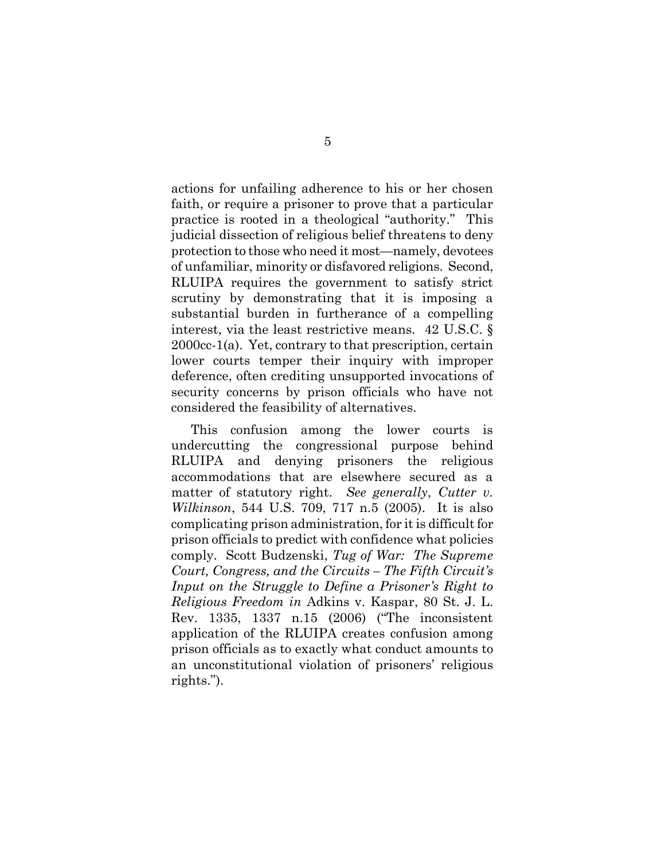actions for unfailing adherence to his or her chosen faith, or require a prisoner to prove that a particular practice is rooted in a theological "authority." This judicial dissection of religious belief threatens to deny protection to those who need it most—namely, devotees of unfamiliar, minority or disfavored religions. Second, RLUIPA requires the government to satisfy strict scrutiny by demonstrating that it is imposing a substantial burden in furtherance of a compelling interest, via the least restrictive means. 42 U.S.C. § 2000cc-1(a). Yet, contrary to that prescription, certain lower courts temper their inquiry with improper deference, often crediting unsupported invocations of security concerns by prison officials who have not considered the feasibility of alternatives.

This confusion among the lower courts is undercutting the congressional purpose behind RLUIPA and denying prisoners the religious accommodations that are elsewhere secured as a matter of statutory right. *See generally*, *Cutter v. Wilkinson*, 544 U.S. 709, 717 n.5 (2005). It is also complicating prison administration, for it is difficult for prison officials to predict with confidence what policies comply. Scott Budzenski, *Tug of War: The Supreme Court, Congress, and the Circuits – The Fifth Circuit's Input on the Struggle to Define a Prisoner's Right to Religious Freedom in* Adkins v. Kaspar, 80 St. J. L. Rev. 1335, 1337 n.15 (2006) ("The inconsistent application of the RLUIPA creates confusion among prison officials as to exactly what conduct amounts to an unconstitutional violation of prisoners' religious rights.").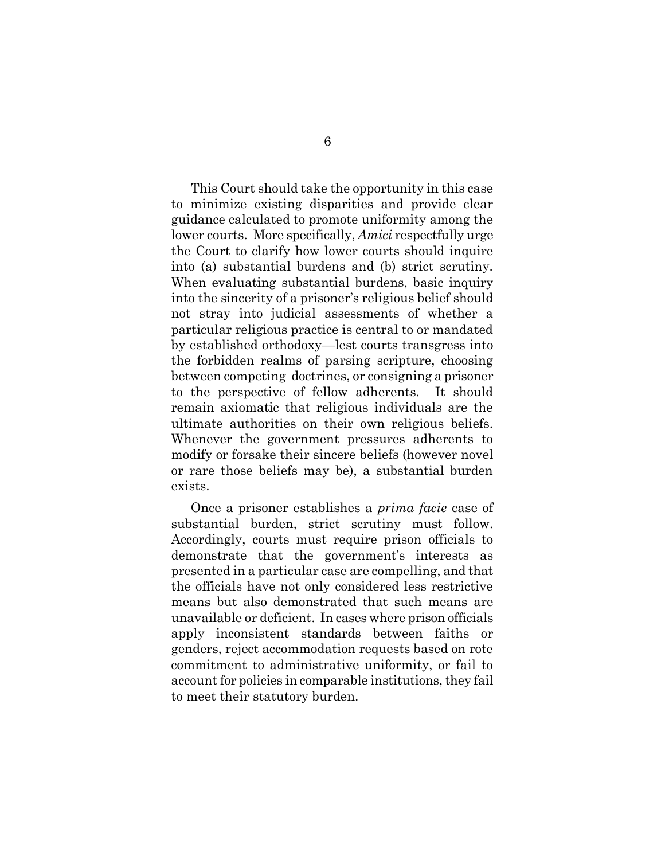This Court should take the opportunity in this case to minimize existing disparities and provide clear guidance calculated to promote uniformity among the lower courts. More specifically, *Amici* respectfully urge the Court to clarify how lower courts should inquire into (a) substantial burdens and (b) strict scrutiny. When evaluating substantial burdens, basic inquiry into the sincerity of a prisoner's religious belief should not stray into judicial assessments of whether a particular religious practice is central to or mandated by established orthodoxy—lest courts transgress into the forbidden realms of parsing scripture, choosing between competing doctrines, or consigning a prisoner to the perspective of fellow adherents. It should remain axiomatic that religious individuals are the ultimate authorities on their own religious beliefs. Whenever the government pressures adherents to modify or forsake their sincere beliefs (however novel or rare those beliefs may be), a substantial burden exists.

Once a prisoner establishes a *prima facie* case of substantial burden, strict scrutiny must follow. Accordingly, courts must require prison officials to demonstrate that the government's interests as presented in a particular case are compelling, and that the officials have not only considered less restrictive means but also demonstrated that such means are unavailable or deficient. In cases where prison officials apply inconsistent standards between faiths or genders, reject accommodation requests based on rote commitment to administrative uniformity, or fail to account for policies in comparable institutions, they fail to meet their statutory burden.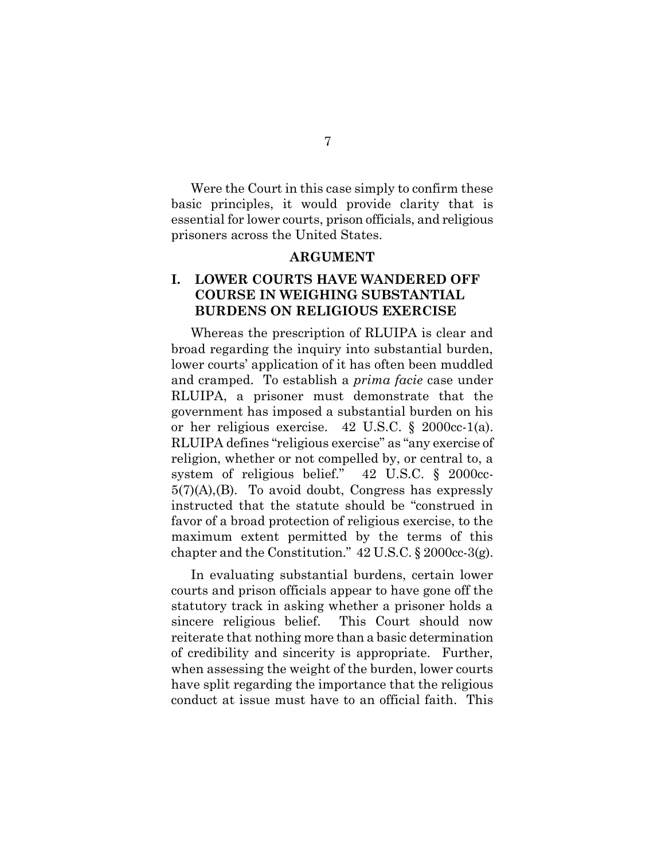Were the Court in this case simply to confirm these basic principles, it would provide clarity that is essential for lower courts, prison officials, and religious prisoners across the United States.

#### **ARGUMENT**

## **I. LOWER COURTS HAVE WANDERED OFF COURSE IN WEIGHING SUBSTANTIAL BURDENS ON RELIGIOUS EXERCISE**

Whereas the prescription of RLUIPA is clear and broad regarding the inquiry into substantial burden, lower courts' application of it has often been muddled and cramped. To establish a *prima facie* case under RLUIPA, a prisoner must demonstrate that the government has imposed a substantial burden on his or her religious exercise. 42 U.S.C. § 2000cc-1(a). RLUIPA defines "religious exercise" as "any exercise of religion, whether or not compelled by, or central to, a system of religious belief." 42 U.S.C. § 2000cc- $5(7)(A)$ , (B). To avoid doubt, Congress has expressly instructed that the statute should be "construed in favor of a broad protection of religious exercise, to the maximum extent permitted by the terms of this chapter and the Constitution." 42 U.S.C. § 2000cc-3(g).

In evaluating substantial burdens, certain lower courts and prison officials appear to have gone off the statutory track in asking whether a prisoner holds a sincere religious belief. This Court should now reiterate that nothing more than a basic determination of credibility and sincerity is appropriate. Further, when assessing the weight of the burden, lower courts have split regarding the importance that the religious conduct at issue must have to an official faith. This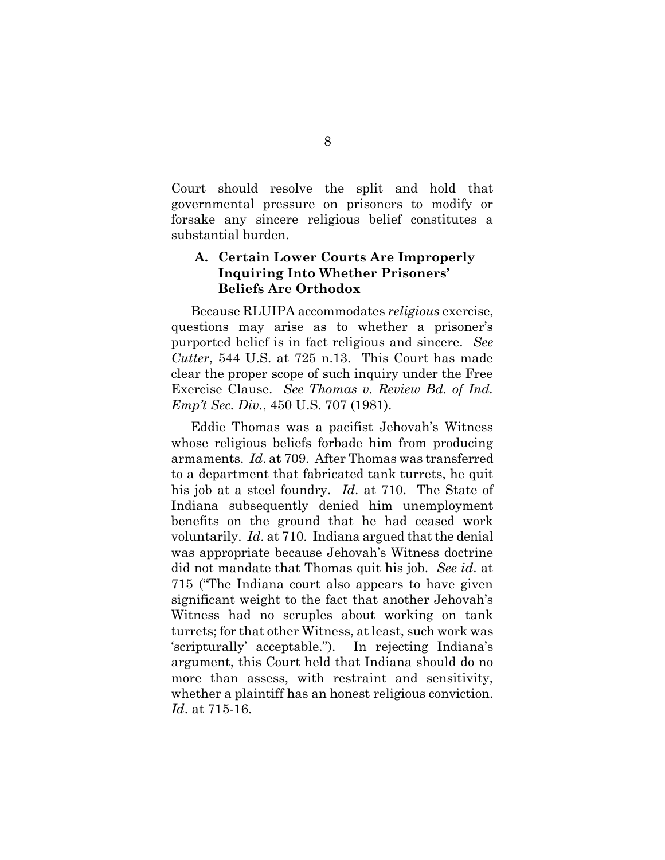Court should resolve the split and hold that governmental pressure on prisoners to modify or forsake any sincere religious belief constitutes a substantial burden.

## **A. Certain Lower Courts Are Improperly Inquiring Into Whether Prisoners' Beliefs Are Orthodox**

Because RLUIPA accommodates *religious* exercise, questions may arise as to whether a prisoner's purported belief is in fact religious and sincere. *See Cutter*, 544 U.S. at 725 n.13. This Court has made clear the proper scope of such inquiry under the Free Exercise Clause. *See Thomas v. Review Bd. of Ind. Emp't Sec. Div.*, 450 U.S. 707 (1981).

Eddie Thomas was a pacifist Jehovah's Witness whose religious beliefs forbade him from producing armaments. *Id*. at 709. After Thomas was transferred to a department that fabricated tank turrets, he quit his job at a steel foundry. *Id*. at 710. The State of Indiana subsequently denied him unemployment benefits on the ground that he had ceased work voluntarily. *Id*. at 710. Indiana argued that the denial was appropriate because Jehovah's Witness doctrine did not mandate that Thomas quit his job. *See id*. at 715 ("The Indiana court also appears to have given significant weight to the fact that another Jehovah's Witness had no scruples about working on tank turrets; for that other Witness, at least, such work was 'scripturally' acceptable."). In rejecting Indiana's argument, this Court held that Indiana should do no more than assess, with restraint and sensitivity, whether a plaintiff has an honest religious conviction. *Id*. at 715-16.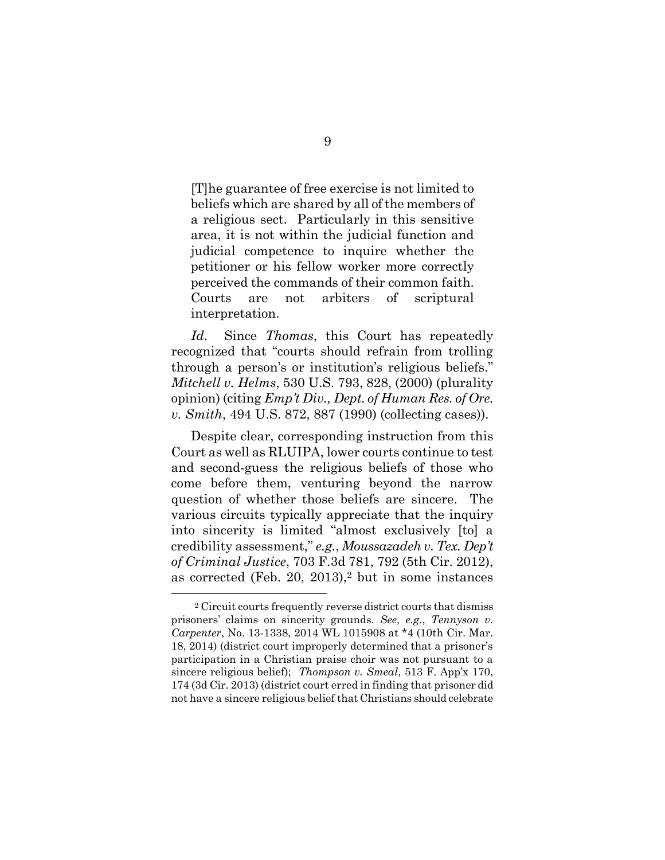[T]he guarantee of free exercise is not limited to beliefs which are shared by all of the members of a religious sect. Particularly in this sensitive area, it is not within the judicial function and judicial competence to inquire whether the petitioner or his fellow worker more correctly perceived the commands of their common faith. Courts are not arbiters of scriptural interpretation.

*Id*. Since *Thomas*, this Court has repeatedly recognized that "courts should refrain from trolling through a person's or institution's religious beliefs." *Mitchell v. Helms*, 530 U.S. 793, 828, (2000) (plurality opinion) (citing *Emp't Div., Dept. of Human Res. of Ore. v. Smith*, 494 U.S. 872, 887 (1990) (collecting cases)).

Despite clear, corresponding instruction from this Court as well as RLUIPA, lower courts continue to test and second-guess the religious beliefs of those who come before them, venturing beyond the narrow question of whether those beliefs are sincere. The various circuits typically appreciate that the inquiry into sincerity is limited "almost exclusively [to] a credibility assessment," *e.g.*, *Moussazadeh v. Tex. Dep't of Criminal Justice*, 703 F.3d 781, 792 (5th Cir. 2012), as corrected (Feb. 20, 2013),<sup>2</sup> but in some instances

<sup>2</sup> Circuit courts frequently reverse district courts that dismiss prisoners' claims on sincerity grounds. *See, e.g.*, *Tennyson v. Carpenter*, No. 13-1338, 2014 WL 1015908 at \*4 (10th Cir. Mar. 18, 2014) (district court improperly determined that a prisoner's participation in a Christian praise choir was not pursuant to a sincere religious belief); *Thompson v. Smeal*, 513 F. App'x 170, 174 (3d Cir. 2013) (district court erred in finding that prisoner did not have a sincere religious belief that Christians should celebrate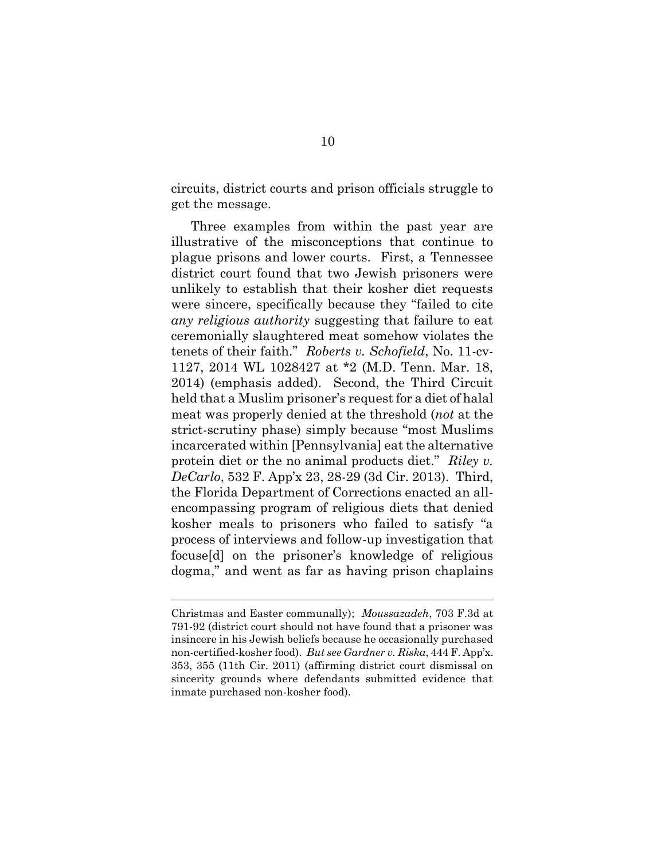circuits, district courts and prison officials struggle to get the message.

Three examples from within the past year are illustrative of the misconceptions that continue to plague prisons and lower courts. First, a Tennessee district court found that two Jewish prisoners were unlikely to establish that their kosher diet requests were sincere, specifically because they "failed to cite *any religious authority* suggesting that failure to eat ceremonially slaughtered meat somehow violates the tenets of their faith." *Roberts v. Schofield*, No. 11-cv-1127, 2014 WL 1028427 at \*2 (M.D. Tenn. Mar. 18, 2014) (emphasis added). Second, the Third Circuit held that a Muslim prisoner's request for a diet of halal meat was properly denied at the threshold (*not* at the strict-scrutiny phase) simply because "most Muslims incarcerated within [Pennsylvania] eat the alternative protein diet or the no animal products diet." *Riley v. DeCarlo*, 532 F. App'x 23, 28-29 (3d Cir. 2013). Third, the Florida Department of Corrections enacted an allencompassing program of religious diets that denied kosher meals to prisoners who failed to satisfy "a process of interviews and follow-up investigation that focuse[d] on the prisoner's knowledge of religious dogma," and went as far as having prison chaplains

Christmas and Easter communally); *Moussazadeh*, 703 F.3d at 791-92 (district court should not have found that a prisoner was insincere in his Jewish beliefs because he occasionally purchased non-certified-kosher food). *But see Gardner v. Riska*, 444 F. App'x. 353, 355 (11th Cir. 2011) (affirming district court dismissal on sincerity grounds where defendants submitted evidence that inmate purchased non-kosher food).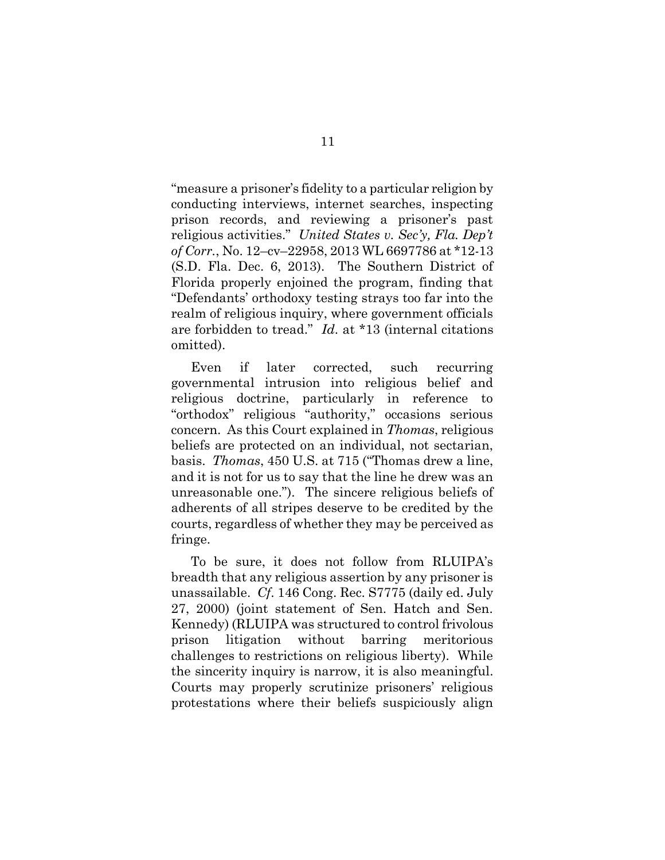"measure a prisoner's fidelity to a particular religion by conducting interviews, internet searches, inspecting prison records, and reviewing a prisoner's past religious activities." *United States v. Sec'y, Fla. Dep't of Corr.*, No. 12–cv–22958, 2013 WL 6697786 at \*12-13 (S.D. Fla. Dec. 6, 2013). The Southern District of Florida properly enjoined the program, finding that "Defendants' orthodoxy testing strays too far into the realm of religious inquiry, where government officials are forbidden to tread." *Id*. at \*13 (internal citations omitted).

Even if later corrected, such recurring governmental intrusion into religious belief and religious doctrine, particularly in reference to "orthodox" religious "authority," occasions serious concern. As this Court explained in *Thomas*, religious beliefs are protected on an individual, not sectarian, basis. *Thomas*, 450 U.S. at 715 ("Thomas drew a line, and it is not for us to say that the line he drew was an unreasonable one."). The sincere religious beliefs of adherents of all stripes deserve to be credited by the courts, regardless of whether they may be perceived as fringe.

To be sure, it does not follow from RLUIPA's breadth that any religious assertion by any prisoner is unassailable. *Cf*. 146 Cong. Rec. S7775 (daily ed. July 27, 2000) (joint statement of Sen. Hatch and Sen. Kennedy) (RLUIPA was structured to control frivolous prison litigation without barring meritorious challenges to restrictions on religious liberty). While the sincerity inquiry is narrow, it is also meaningful. Courts may properly scrutinize prisoners' religious protestations where their beliefs suspiciously align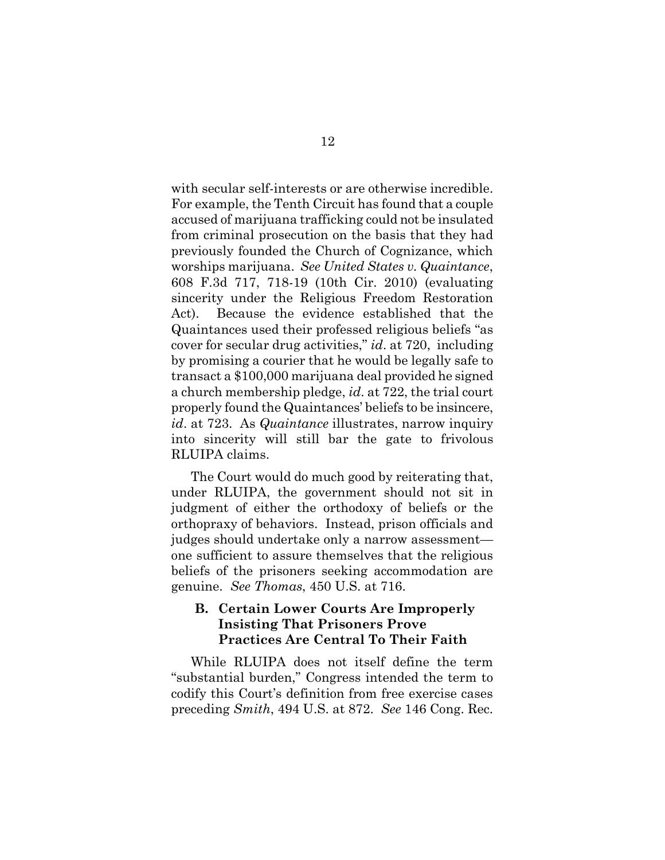with secular self-interests or are otherwise incredible. For example, the Tenth Circuit has found that a couple accused of marijuana trafficking could not be insulated from criminal prosecution on the basis that they had previously founded the Church of Cognizance, which worships marijuana. *See United States v. Quaintance*, 608 F.3d 717, 718-19 (10th Cir. 2010) (evaluating sincerity under the Religious Freedom Restoration Act). Because the evidence established that the Quaintances used their professed religious beliefs "as cover for secular drug activities," *id*. at 720, including by promising a courier that he would be legally safe to transact a \$100,000 marijuana deal provided he signed a church membership pledge, *id*. at 722, the trial court properly found the Quaintances' beliefs to be insincere, *id*. at 723. As *Quaintance* illustrates, narrow inquiry into sincerity will still bar the gate to frivolous RLUIPA claims.

The Court would do much good by reiterating that, under RLUIPA, the government should not sit in judgment of either the orthodoxy of beliefs or the orthopraxy of behaviors. Instead, prison officials and judges should undertake only a narrow assessment one sufficient to assure themselves that the religious beliefs of the prisoners seeking accommodation are genuine. *See Thomas*, 450 U.S. at 716.

## **B. Certain Lower Courts Are Improperly Insisting That Prisoners Prove Practices Are Central To Their Faith**

While RLUIPA does not itself define the term "substantial burden," Congress intended the term to codify this Court's definition from free exercise cases preceding *Smith*, 494 U.S. at 872. *See* 146 Cong. Rec.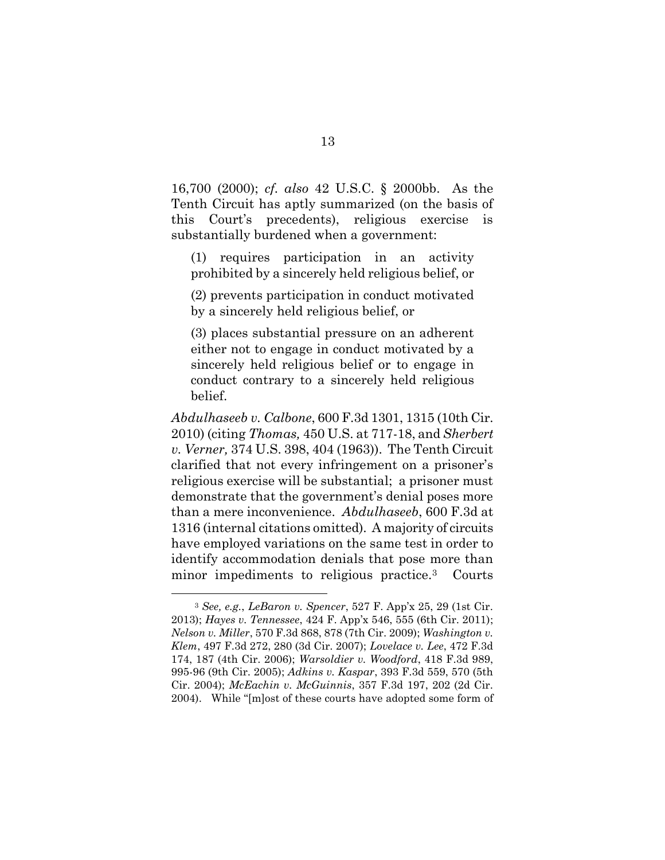16,700 (2000); *cf. also* 42 U.S.C. § 2000bb. As the Tenth Circuit has aptly summarized (on the basis of this Court's precedents), religious exercise is substantially burdened when a government:

(1) requires participation in an activity prohibited by a sincerely held religious belief, or

(2) prevents participation in conduct motivated by a sincerely held religious belief, or

(3) places substantial pressure on an adherent either not to engage in conduct motivated by a sincerely held religious belief or to engage in conduct contrary to a sincerely held religious belief.

*Abdulhaseeb v. Calbone*, 600 F.3d 1301, 1315 (10th Cir. 2010) (citing *Thomas,* 450 U.S. at 717-18, and *Sherbert v. Verner,* 374 U.S. 398, 404 (1963)). The Tenth Circuit clarified that not every infringement on a prisoner's religious exercise will be substantial; a prisoner must demonstrate that the government's denial poses more than a mere inconvenience. *Abdulhaseeb*, 600 F.3d at 1316 (internal citations omitted). A majority of circuits have employed variations on the same test in order to identify accommodation denials that pose more than minor impediments to religious practice.<sup>3</sup> Courts

<sup>3</sup> *See, e.g.*, *LeBaron v. Spencer*, 527 F. App'x 25, 29 (1st Cir. 2013); *Hayes v. Tennessee*, 424 F. App'x 546, 555 (6th Cir. 2011); *Nelson v. Miller*, 570 F.3d 868, 878 (7th Cir. 2009); *Washington v. Klem*, 497 F.3d 272, 280 (3d Cir. 2007); *Lovelace v. Lee*, 472 F.3d 174, 187 (4th Cir. 2006); *Warsoldier v. Woodford*, 418 F.3d 989, 995-96 (9th Cir. 2005); *Adkins v. Kaspar*, 393 F.3d 559, 570 (5th Cir. 2004); *McEachin v. McGuinnis*, 357 F.3d 197, 202 (2d Cir. 2004). While "[m]ost of these courts have adopted some form of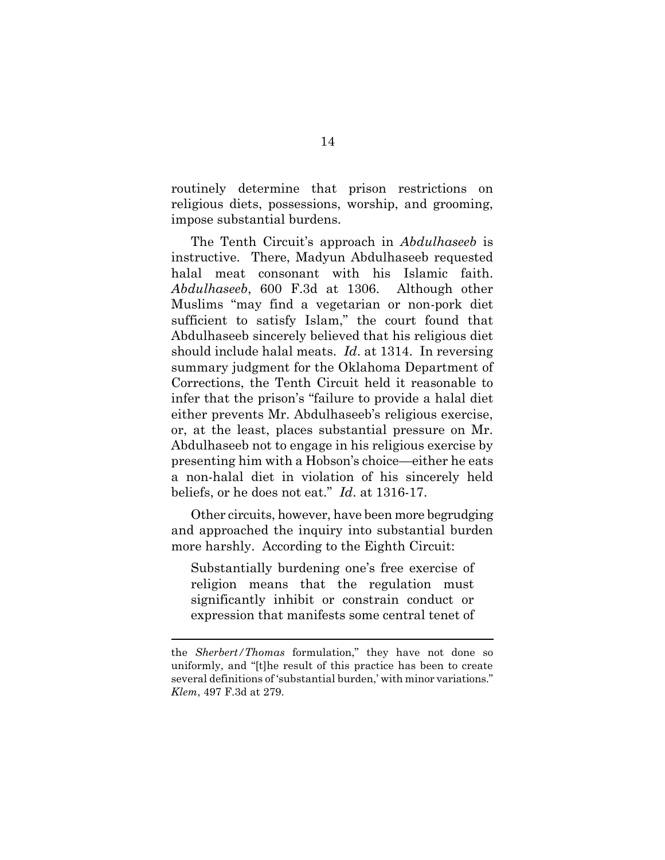routinely determine that prison restrictions on religious diets, possessions, worship, and grooming, impose substantial burdens.

The Tenth Circuit's approach in *Abdulhaseeb* is instructive. There, Madyun Abdulhaseeb requested halal meat consonant with his Islamic faith. *Abdulhaseeb*, 600 F.3d at 1306. Although other Muslims "may find a vegetarian or non-pork diet sufficient to satisfy Islam," the court found that Abdulhaseeb sincerely believed that his religious diet should include halal meats. *Id*. at 1314. In reversing summary judgment for the Oklahoma Department of Corrections, the Tenth Circuit held it reasonable to infer that the prison's "failure to provide a halal diet either prevents Mr. Abdulhaseeb's religious exercise, or, at the least, places substantial pressure on Mr. Abdulhaseeb not to engage in his religious exercise by presenting him with a Hobson's choice—either he eats a non-halal diet in violation of his sincerely held beliefs, or he does not eat." *Id*. at 1316-17.

Other circuits, however, have been more begrudging and approached the inquiry into substantial burden more harshly. According to the Eighth Circuit:

Substantially burdening one's free exercise of religion means that the regulation must significantly inhibit or constrain conduct or expression that manifests some central tenet of

the *Sherbert/Thomas* formulation," they have not done so uniformly, and "[t]he result of this practice has been to create several definitions of 'substantial burden,' with minor variations." *Klem*, 497 F.3d at 279.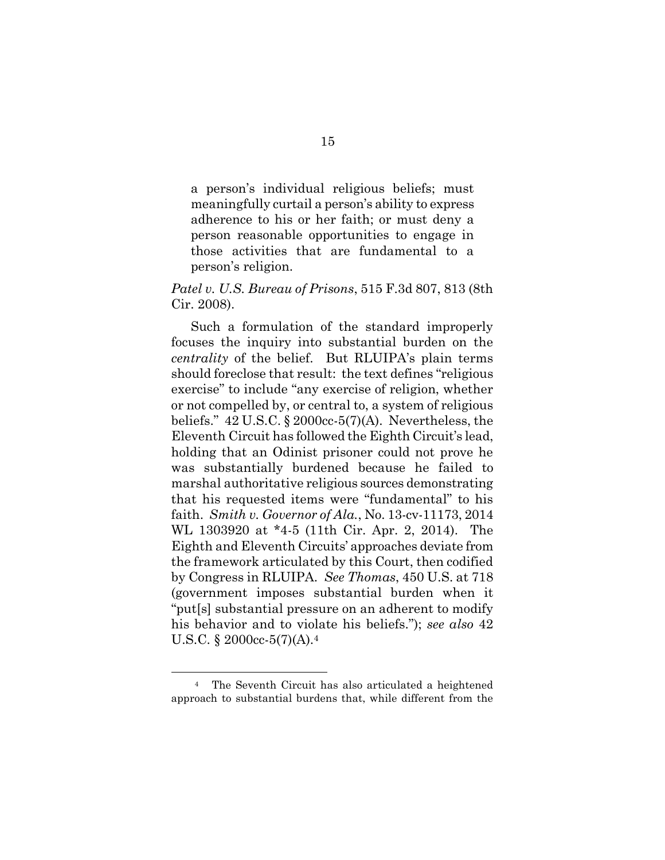a person's individual religious beliefs; must meaningfully curtail a person's ability to express adherence to his or her faith; or must deny a person reasonable opportunities to engage in those activities that are fundamental to a person's religion.

#### *Patel v. U.S. Bureau of Prisons*, 515 F.3d 807, 813 (8th Cir. 2008).

Such a formulation of the standard improperly focuses the inquiry into substantial burden on the *centrality* of the belief. But RLUIPA's plain terms should foreclose that result: the text defines "religious exercise" to include "any exercise of religion, whether or not compelled by, or central to, a system of religious beliefs."  $42 \text{ U.S.C.}$  §  $2000 \text{cc} \cdot 5(7)(\text{A})$ . Nevertheless, the Eleventh Circuit has followed the Eighth Circuit's lead, holding that an Odinist prisoner could not prove he was substantially burdened because he failed to marshal authoritative religious sources demonstrating that his requested items were "fundamental" to his faith. *Smith v. Governor of Ala.*, No. 13-cv-11173, 2014 WL 1303920 at \*4-5 (11th Cir. Apr. 2, 2014). The Eighth and Eleventh Circuits' approaches deviate from the framework articulated by this Court, then codified by Congress in RLUIPA. *See Thomas*, 450 U.S. at 718 (government imposes substantial burden when it "put[s] substantial pressure on an adherent to modify his behavior and to violate his beliefs."); *see also* 42 U.S.C. § 2000cc-5(7)(A).<sup>4</sup>

<sup>4</sup> The Seventh Circuit has also articulated a heightened approach to substantial burdens that, while different from the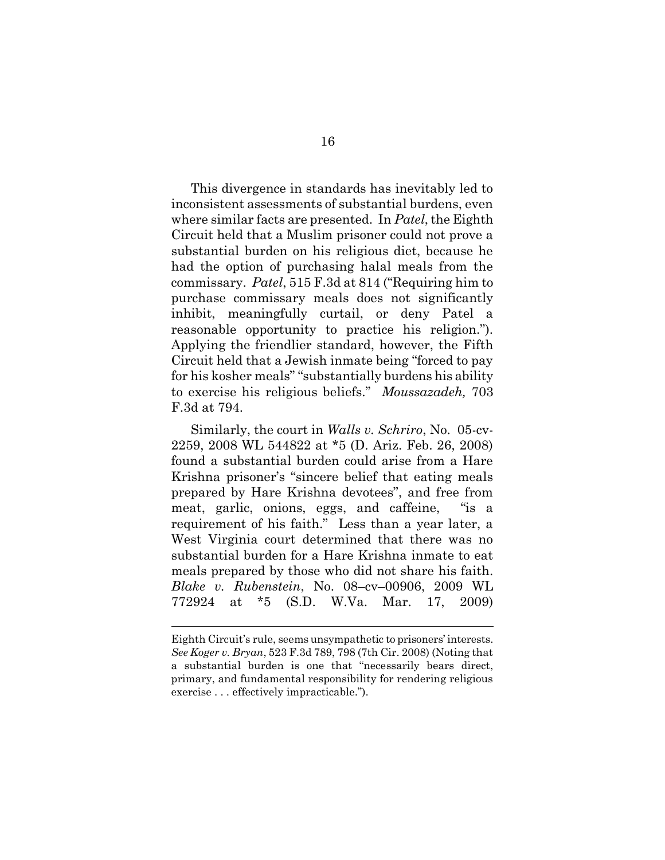This divergence in standards has inevitably led to inconsistent assessments of substantial burdens, even where similar facts are presented. In *Patel*, the Eighth Circuit held that a Muslim prisoner could not prove a substantial burden on his religious diet, because he had the option of purchasing halal meals from the commissary. *Patel*, 515 F.3d at 814 ("Requiring him to purchase commissary meals does not significantly inhibit, meaningfully curtail, or deny Patel a reasonable opportunity to practice his religion."). Applying the friendlier standard, however, the Fifth Circuit held that a Jewish inmate being "forced to pay for his kosher meals" "substantially burdens his ability to exercise his religious beliefs." *Moussazadeh,* 703 F.3d at 794.

Similarly, the court in *Walls v. Schriro*, No. 05-cv-2259, 2008 WL 544822 at \*5 (D. Ariz. Feb. 26, 2008) found a substantial burden could arise from a Hare Krishna prisoner's "sincere belief that eating meals prepared by Hare Krishna devotees", and free from meat, garlic, onions, eggs, and caffeine, "is a requirement of his faith." Less than a year later, a West Virginia court determined that there was no substantial burden for a Hare Krishna inmate to eat meals prepared by those who did not share his faith. *Blake v. Rubenstein*, No. 08–cv–00906, 2009 WL 772924 at \*5 (S.D. W.Va. Mar. 17, 2009)

Eighth Circuit's rule, seems unsympathetic to prisoners' interests. *See Koger v. Bryan*, 523 F.3d 789, 798 (7th Cir. 2008) (Noting that a substantial burden is one that "necessarily bears direct, primary, and fundamental responsibility for rendering religious exercise . . . effectively impracticable.").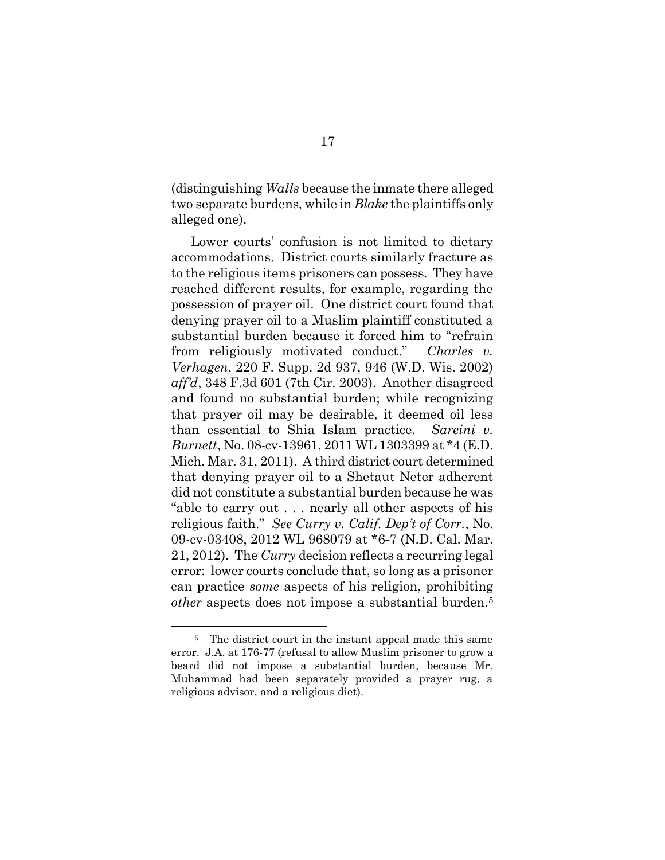(distinguishing *Walls* because the inmate there alleged two separate burdens, while in *Blake* the plaintiffs only alleged one).

Lower courts' confusion is not limited to dietary accommodations. District courts similarly fracture as to the religious items prisoners can possess. They have reached different results, for example, regarding the possession of prayer oil. One district court found that denying prayer oil to a Muslim plaintiff constituted a substantial burden because it forced him to "refrain from religiously motivated conduct." *Charles v. Verhagen*, 220 F. Supp. 2d 937, 946 (W.D. Wis. 2002) *aff'd*, 348 F.3d 601 (7th Cir. 2003). Another disagreed and found no substantial burden; while recognizing that prayer oil may be desirable, it deemed oil less than essential to Shia Islam practice. *Sareini v. Burnett*, No. 08-cv-13961, 2011 WL 1303399 at \*4 (E.D. Mich. Mar. 31, 2011). A third district court determined that denying prayer oil to a Shetaut Neter adherent did not constitute a substantial burden because he was "able to carry out . . . nearly all other aspects of his religious faith." *See Curry v. Calif. Dep't of Corr.*, No. 09-cv-03408, 2012 WL 968079 at \*6**-**7 (N.D. Cal. Mar. 21, 2012). The *Curry* decision reflects a recurring legal error: lower courts conclude that, so long as a prisoner can practice *some* aspects of his religion, prohibiting *other* aspects does not impose a substantial burden.<sup>5</sup>

<sup>&</sup>lt;sup>5</sup> The district court in the instant appeal made this same error. J.A. at 176-77 (refusal to allow Muslim prisoner to grow a beard did not impose a substantial burden, because Mr. Muhammad had been separately provided a prayer rug, a religious advisor, and a religious diet).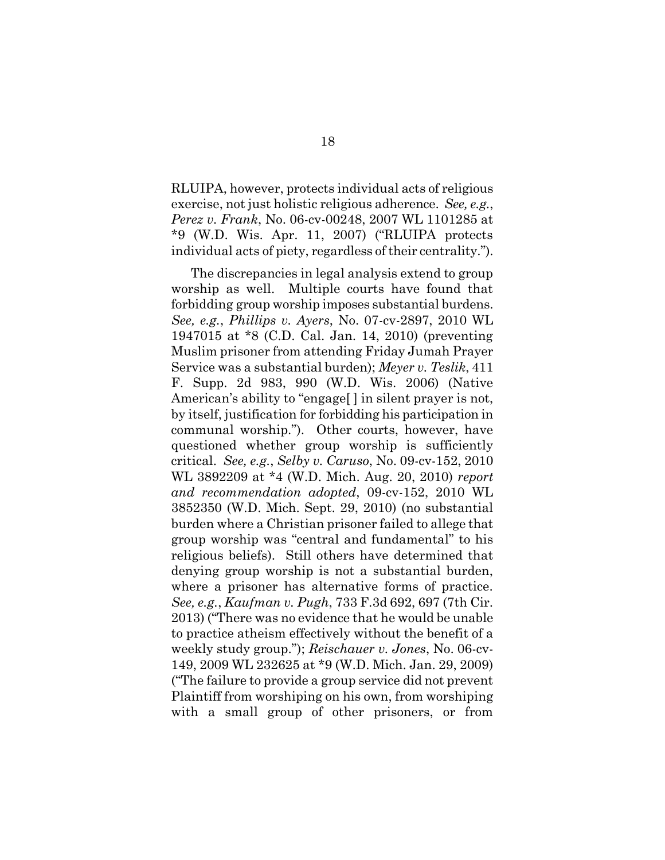RLUIPA, however, protects individual acts of religious exercise, not just holistic religious adherence. *See, e.g.*, *Perez v. Frank*, No. 06-cv-00248, 2007 WL 1101285 at \*9 (W.D. Wis. Apr. 11, 2007) ("RLUIPA protects individual acts of piety, regardless of their centrality.").

The discrepancies in legal analysis extend to group worship as well. Multiple courts have found that forbidding group worship imposes substantial burdens. *See, e.g.*, *Phillips v. Ayers*, No. 07-cv-2897, 2010 WL 1947015 at \*8 (C.D. Cal. Jan. 14, 2010) (preventing Muslim prisoner from attending Friday Jumah Prayer Service was a substantial burden); *Meyer v. Teslik*, 411 F. Supp. 2d 983, 990 (W.D. Wis. 2006) (Native American's ability to "engage[ ] in silent prayer is not, by itself, justification for forbidding his participation in communal worship."). Other courts, however, have questioned whether group worship is sufficiently critical. *See, e.g.*, *Selby v. Caruso*, No. 09-cv-152, 2010 WL 3892209 at \*4 (W.D. Mich. Aug. 20, 2010) *report and recommendation adopted*, 09-cv-152, 2010 WL 3852350 (W.D. Mich. Sept. 29, 2010) (no substantial burden where a Christian prisoner failed to allege that group worship was "central and fundamental" to his religious beliefs). Still others have determined that denying group worship is not a substantial burden, where a prisoner has alternative forms of practice. *See, e.g.*, *Kaufman v. Pugh*, 733 F.3d 692, 697 (7th Cir. 2013) ("There was no evidence that he would be unable to practice atheism effectively without the benefit of a weekly study group."); *Reischauer v. Jones*, No. 06-cv-149, 2009 WL 232625 at \*9 (W.D. Mich. Jan. 29, 2009) ("The failure to provide a group service did not prevent Plaintiff from worshiping on his own, from worshiping with a small group of other prisoners, or from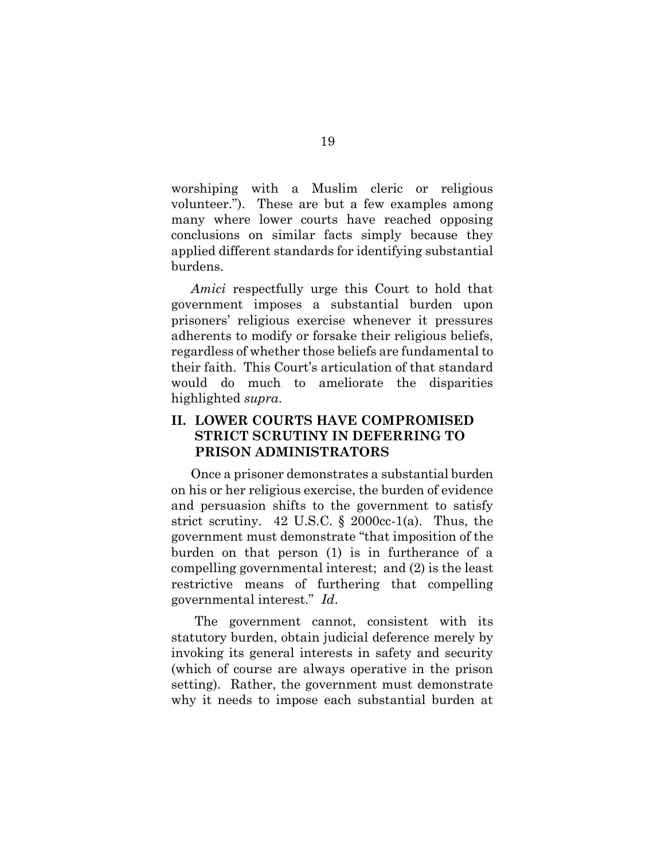worshiping with a Muslim cleric or religious volunteer."). These are but a few examples among many where lower courts have reached opposing conclusions on similar facts simply because they applied different standards for identifying substantial burdens.

*Amici* respectfully urge this Court to hold that government imposes a substantial burden upon prisoners' religious exercise whenever it pressures adherents to modify or forsake their religious beliefs, regardless of whether those beliefs are fundamental to their faith. This Court's articulation of that standard would do much to ameliorate the disparities highlighted *supra*.

## **II. LOWER COURTS HAVE COMPROMISED STRICT SCRUTINY IN DEFERRING TO PRISON ADMINISTRATORS**

Once a prisoner demonstrates a substantial burden on his or her religious exercise, the burden of evidence and persuasion shifts to the government to satisfy strict scrutiny. 42 U.S.C.  $\frac{2000}{c}$ -1(a). Thus, the government must demonstrate "that imposition of the burden on that person (1) is in furtherance of a compelling governmental interest; and (2) is the least restrictive means of furthering that compelling governmental interest." *Id*.

The government cannot, consistent with its statutory burden, obtain judicial deference merely by invoking its general interests in safety and security (which of course are always operative in the prison setting). Rather, the government must demonstrate why it needs to impose each substantial burden at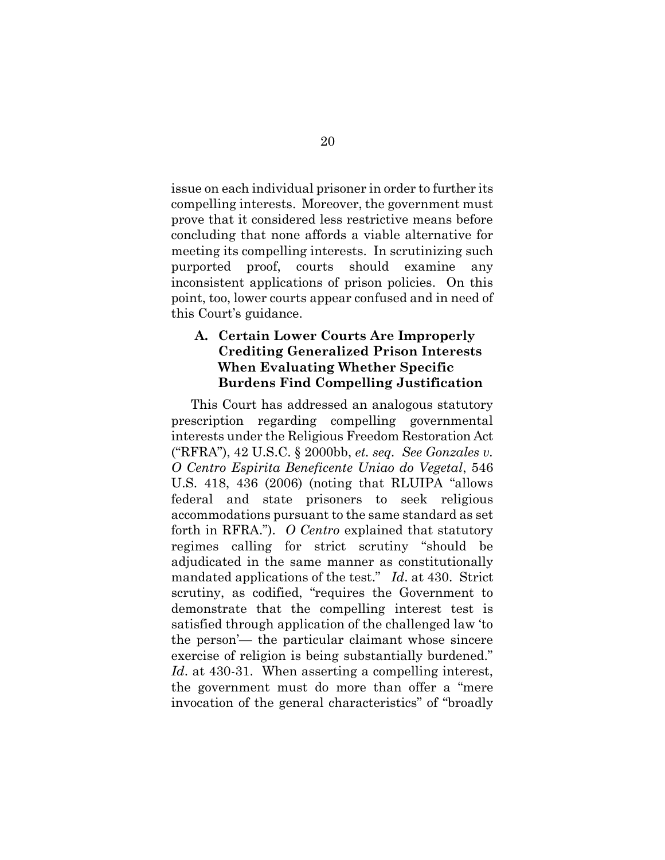issue on each individual prisoner in order to further its compelling interests. Moreover, the government must prove that it considered less restrictive means before concluding that none affords a viable alternative for meeting its compelling interests. In scrutinizing such purported proof, courts should examine any inconsistent applications of prison policies. On this point, too, lower courts appear confused and in need of this Court's guidance.

## **A. Certain Lower Courts Are Improperly Crediting Generalized Prison Interests When Evaluating Whether Specific Burdens Find Compelling Justification**

This Court has addressed an analogous statutory prescription regarding compelling governmental interests under the Religious Freedom Restoration Act ("RFRA"), 42 U.S.C. § 2000bb, *et. seq. See Gonzales v. O Centro Espirita Beneficente Uniao do Vegetal*, 546 U.S. 418, 436 (2006) (noting that RLUIPA "allows federal and state prisoners to seek religious accommodations pursuant to the same standard as set forth in RFRA."). *O Centro* explained that statutory regimes calling for strict scrutiny "should be adjudicated in the same manner as constitutionally mandated applications of the test." *Id*. at 430. Strict scrutiny, as codified, "requires the Government to demonstrate that the compelling interest test is satisfied through application of the challenged law 'to the person'— the particular claimant whose sincere exercise of religion is being substantially burdened." Id. at 430-31. When asserting a compelling interest, the government must do more than offer a "mere invocation of the general characteristics" of "broadly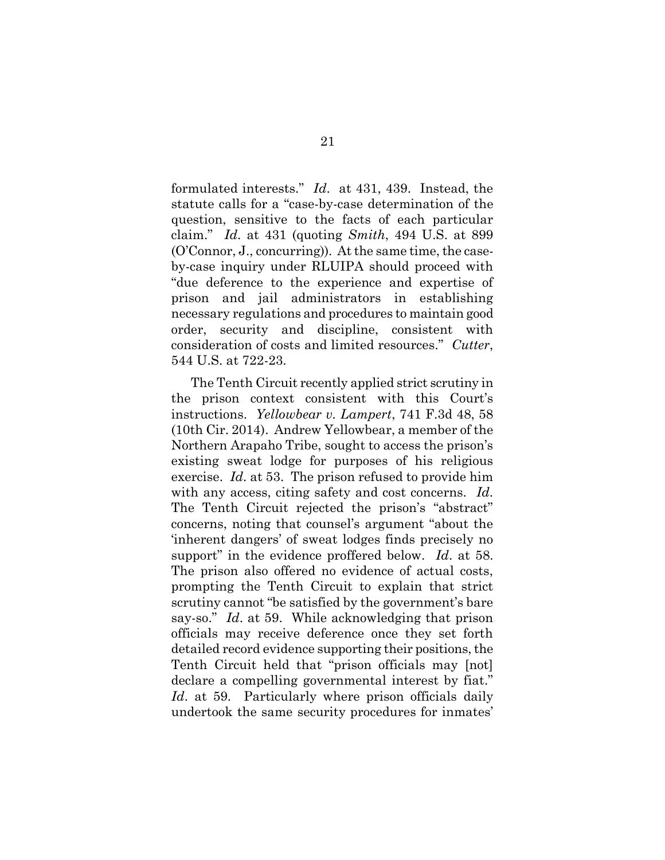formulated interests." *Id*. at 431, 439. Instead, the statute calls for a "case-by-case determination of the question, sensitive to the facts of each particular claim." *Id*. at 431 (quoting *Smith*, 494 U.S. at 899 (O'Connor, J., concurring)). At the same time, the caseby-case inquiry under RLUIPA should proceed with "due deference to the experience and expertise of prison and jail administrators in establishing necessary regulations and procedures to maintain good order, security and discipline, consistent with consideration of costs and limited resources." *Cutter*, 544 U.S. at 722-23.

The Tenth Circuit recently applied strict scrutiny in the prison context consistent with this Court's instructions. *Yellowbear v. Lampert*, 741 F.3d 48, 58 (10th Cir. 2014). Andrew Yellowbear, a member of the Northern Arapaho Tribe, sought to access the prison's existing sweat lodge for purposes of his religious exercise. *Id*. at 53. The prison refused to provide him with any access, citing safety and cost concerns. *Id*. The Tenth Circuit rejected the prison's "abstract" concerns, noting that counsel's argument "about the 'inherent dangers' of sweat lodges finds precisely no support" in the evidence proffered below. *Id*. at 58. The prison also offered no evidence of actual costs, prompting the Tenth Circuit to explain that strict scrutiny cannot "be satisfied by the government's bare say-so." *Id*. at 59. While acknowledging that prison officials may receive deference once they set forth detailed record evidence supporting their positions, the Tenth Circuit held that "prison officials may [not] declare a compelling governmental interest by fiat." *Id*. at 59. Particularly where prison officials daily undertook the same security procedures for inmates'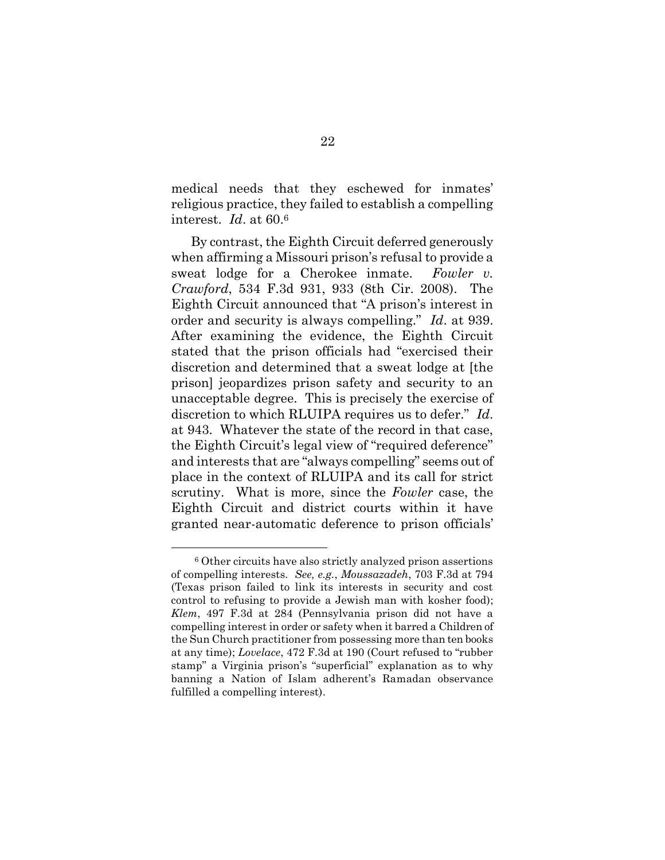medical needs that they eschewed for inmates' religious practice, they failed to establish a compelling interest. *Id*. at 60.<sup>6</sup>

By contrast, the Eighth Circuit deferred generously when affirming a Missouri prison's refusal to provide a sweat lodge for a Cherokee inmate. *Fowler v. Crawford*, 534 F.3d 931, 933 (8th Cir. 2008). The Eighth Circuit announced that "A prison's interest in order and security is always compelling." *Id*. at 939. After examining the evidence, the Eighth Circuit stated that the prison officials had "exercised their discretion and determined that a sweat lodge at [the prison] jeopardizes prison safety and security to an unacceptable degree. This is precisely the exercise of discretion to which RLUIPA requires us to defer." *Id*. at 943. Whatever the state of the record in that case, the Eighth Circuit's legal view of "required deference" and interests that are "always compelling" seems out of place in the context of RLUIPA and its call for strict scrutiny. What is more, since the *Fowler* case, the Eighth Circuit and district courts within it have granted near-automatic deference to prison officials'

<sup>6</sup> Other circuits have also strictly analyzed prison assertions of compelling interests. *See, e.g.*, *Moussazadeh*, 703 F.3d at 794 (Texas prison failed to link its interests in security and cost control to refusing to provide a Jewish man with kosher food); *Klem*, 497 F.3d at 284 (Pennsylvania prison did not have a compelling interest in order or safety when it barred a Children of the Sun Church practitioner from possessing more than ten books at any time); *Lovelace*, 472 F.3d at 190 (Court refused to "rubber stamp" a Virginia prison's "superficial" explanation as to why banning a Nation of Islam adherent's Ramadan observance fulfilled a compelling interest).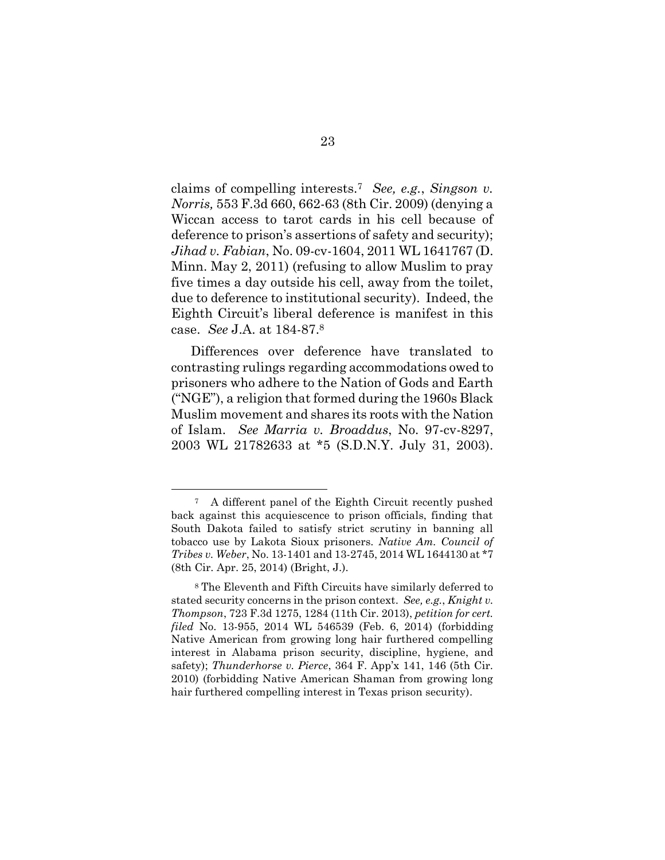claims of compelling interests.<sup>7</sup> *See, e.g.*, *Singson v. Norris,* 553 F.3d 660, 662-63 (8th Cir. 2009) (denying a Wiccan access to tarot cards in his cell because of deference to prison's assertions of safety and security); *Jihad v. Fabian*, No. 09-cv-1604, 2011 WL 1641767 (D. Minn. May 2, 2011) (refusing to allow Muslim to pray five times a day outside his cell, away from the toilet, due to deference to institutional security). Indeed, the Eighth Circuit's liberal deference is manifest in this case. *See* J.A. at 184-87.<sup>8</sup>

Differences over deference have translated to contrasting rulings regarding accommodations owed to prisoners who adhere to the Nation of Gods and Earth ("NGE"), a religion that formed during the 1960s Black Muslim movement and shares its roots with the Nation of Islam. *See Marria v. Broaddus*, No. 97-cv-8297, 2003 WL 21782633 at \*5 (S.D.N.Y. July 31, 2003).

<sup>7</sup> A different panel of the Eighth Circuit recently pushed back against this acquiescence to prison officials, finding that South Dakota failed to satisfy strict scrutiny in banning all tobacco use by Lakota Sioux prisoners. *Native Am. Council of Tribes v. Weber*, No. 13-1401 and 13-2745, 2014 WL 1644130 at \*7 (8th Cir. Apr. 25, 2014) (Bright, J.).

<sup>8</sup> The Eleventh and Fifth Circuits have similarly deferred to stated security concerns in the prison context. *See, e.g.*, *Knight v. Thompson*, 723 F.3d 1275, 1284 (11th Cir. 2013), *petition for cert. filed* No. 13-955, 2014 WL 546539 (Feb. 6, 2014) (forbidding Native American from growing long hair furthered compelling interest in Alabama prison security, discipline, hygiene, and safety); *Thunderhorse v. Pierce*, 364 F. App'x 141, 146 (5th Cir. 2010) (forbidding Native American Shaman from growing long hair furthered compelling interest in Texas prison security).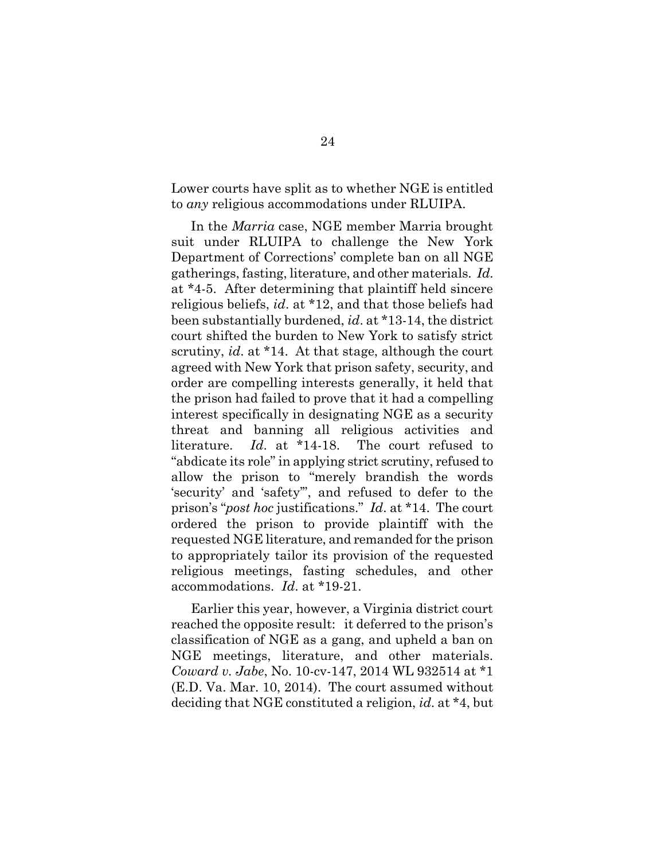Lower courts have split as to whether NGE is entitled to *any* religious accommodations under RLUIPA.

In the *Marria* case, NGE member Marria brought suit under RLUIPA to challenge the New York Department of Corrections' complete ban on all NGE gatherings, fasting, literature, and other materials. *Id*. at \*4-5. After determining that plaintiff held sincere religious beliefs, *id*. at \*12, and that those beliefs had been substantially burdened, *id*. at \*13-14, the district court shifted the burden to New York to satisfy strict scrutiny, *id*. at \*14. At that stage, although the court agreed with New York that prison safety, security, and order are compelling interests generally, it held that the prison had failed to prove that it had a compelling interest specifically in designating NGE as a security threat and banning all religious activities and literature. *Id*. at \*14-18. The court refused to "abdicate its role" in applying strict scrutiny, refused to allow the prison to "merely brandish the words 'security' and 'safety'", and refused to defer to the prison's "*post hoc* justifications." *Id*. at \*14. The court ordered the prison to provide plaintiff with the requested NGE literature, and remanded for the prison to appropriately tailor its provision of the requested religious meetings, fasting schedules, and other accommodations. *Id*. at \*19-21.

Earlier this year, however, a Virginia district court reached the opposite result: it deferred to the prison's classification of NGE as a gang, and upheld a ban on NGE meetings, literature, and other materials. *Coward v. Jabe*, No. 10-cv-147, 2014 WL 932514 at \*1 (E.D. Va. Mar. 10, 2014). The court assumed without deciding that NGE constituted a religion, *id*. at \*4, but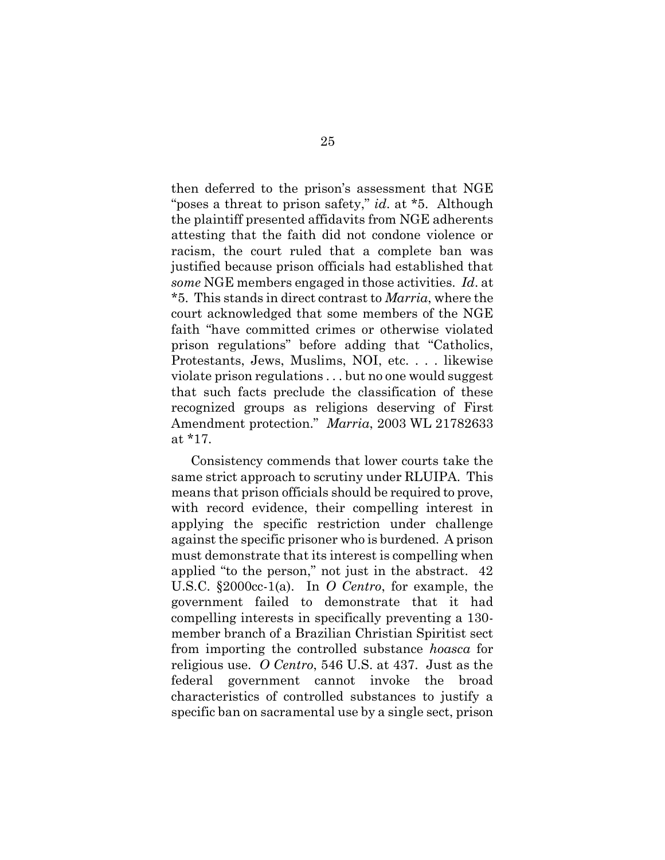then deferred to the prison's assessment that NGE "poses a threat to prison safety," *id*. at \*5. Although the plaintiff presented affidavits from NGE adherents attesting that the faith did not condone violence or racism, the court ruled that a complete ban was justified because prison officials had established that *some* NGE members engaged in those activities. *Id*. at \*5. This stands in direct contrast to *Marria*, where the court acknowledged that some members of the NGE faith "have committed crimes or otherwise violated prison regulations" before adding that "Catholics, Protestants, Jews, Muslims, NOI, etc. . . . likewise violate prison regulations . . . but no one would suggest that such facts preclude the classification of these recognized groups as religions deserving of First Amendment protection." *Marria*, 2003 WL 21782633 at \*17.

Consistency commends that lower courts take the same strict approach to scrutiny under RLUIPA. This means that prison officials should be required to prove, with record evidence, their compelling interest in applying the specific restriction under challenge against the specific prisoner who is burdened. A prison must demonstrate that its interest is compelling when applied "to the person," not just in the abstract. 42 U.S.C. §2000cc-1(a). In *O Centro*, for example, the government failed to demonstrate that it had compelling interests in specifically preventing a 130 member branch of a Brazilian Christian Spiritist sect from importing the controlled substance *hoasca* for religious use. *O Centro*, 546 U.S. at 437. Just as the federal government cannot invoke the broad characteristics of controlled substances to justify a specific ban on sacramental use by a single sect, prison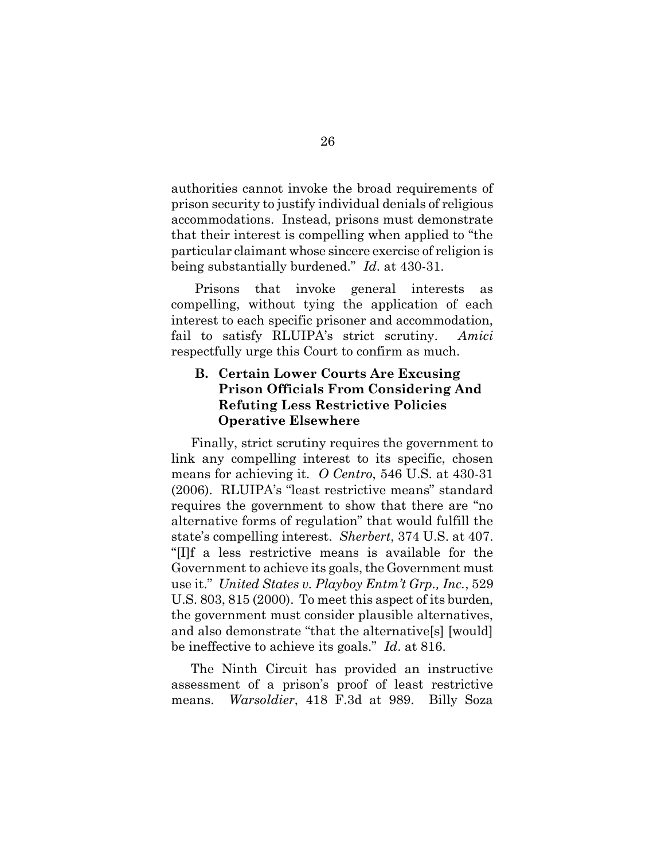authorities cannot invoke the broad requirements of prison security to justify individual denials of religious accommodations. Instead, prisons must demonstrate that their interest is compelling when applied to "the particular claimant whose sincere exercise of religion is being substantially burdened." *Id*. at 430-31.

Prisons that invoke general interests as compelling, without tying the application of each interest to each specific prisoner and accommodation, fail to satisfy RLUIPA's strict scrutiny. *Amici* respectfully urge this Court to confirm as much.

## **B. Certain Lower Courts Are Excusing Prison Officials From Considering And Refuting Less Restrictive Policies Operative Elsewhere**

Finally, strict scrutiny requires the government to link any compelling interest to its specific, chosen means for achieving it. *O Centro*, 546 U.S. at 430-31 (2006). RLUIPA's "least restrictive means" standard requires the government to show that there are "no alternative forms of regulation" that would fulfill the state's compelling interest. *Sherbert*, 374 U.S. at 407. "[I]f a less restrictive means is available for the Government to achieve its goals, the Government must use it." *United States v. Playboy Entm't Grp., Inc.*, 529 U.S. 803, 815 (2000). To meet this aspect of its burden, the government must consider plausible alternatives, and also demonstrate "that the alternative[s] [would] be ineffective to achieve its goals." *Id*. at 816.

The Ninth Circuit has provided an instructive assessment of a prison's proof of least restrictive means. *Warsoldier*, 418 F.3d at 989. Billy Soza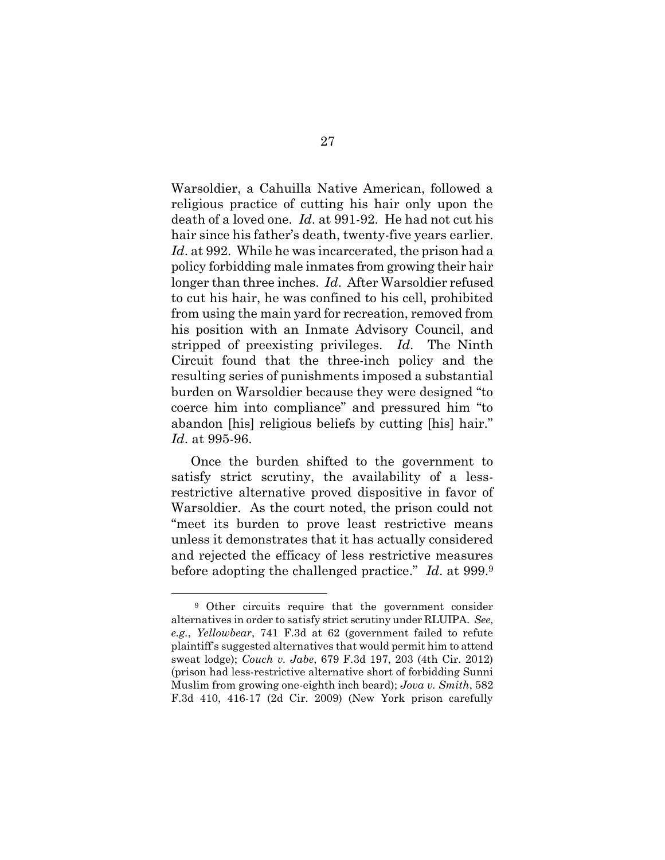Warsoldier, a Cahuilla Native American, followed a religious practice of cutting his hair only upon the death of a loved one. *Id*. at 991-92. He had not cut his hair since his father's death, twenty-five years earlier. *Id*. at 992. While he was incarcerated, the prison had a policy forbidding male inmates from growing their hair longer than three inches. *Id*. After Warsoldier refused to cut his hair, he was confined to his cell, prohibited from using the main yard for recreation, removed from his position with an Inmate Advisory Council, and stripped of preexisting privileges. *Id*. The Ninth Circuit found that the three-inch policy and the resulting series of punishments imposed a substantial burden on Warsoldier because they were designed "to coerce him into compliance" and pressured him "to abandon [his] religious beliefs by cutting [his] hair." *Id*. at 995-96.

Once the burden shifted to the government to satisfy strict scrutiny, the availability of a lessrestrictive alternative proved dispositive in favor of Warsoldier. As the court noted, the prison could not "meet its burden to prove least restrictive means unless it demonstrates that it has actually considered and rejected the efficacy of less restrictive measures before adopting the challenged practice." *Id*. at 999.<sup>9</sup>

<sup>9</sup> Other circuits require that the government consider alternatives in order to satisfy strict scrutiny under RLUIPA. *See, e.g.*, *Yellowbear*, 741 F.3d at 62 (government failed to refute plaintiff's suggested alternatives that would permit him to attend sweat lodge); *Couch v. Jabe*, 679 F.3d 197, 203 (4th Cir. 2012) (prison had less-restrictive alternative short of forbidding Sunni Muslim from growing one-eighth inch beard); *Jova v. Smith*, 582 F.3d 410, 416-17 (2d Cir. 2009) (New York prison carefully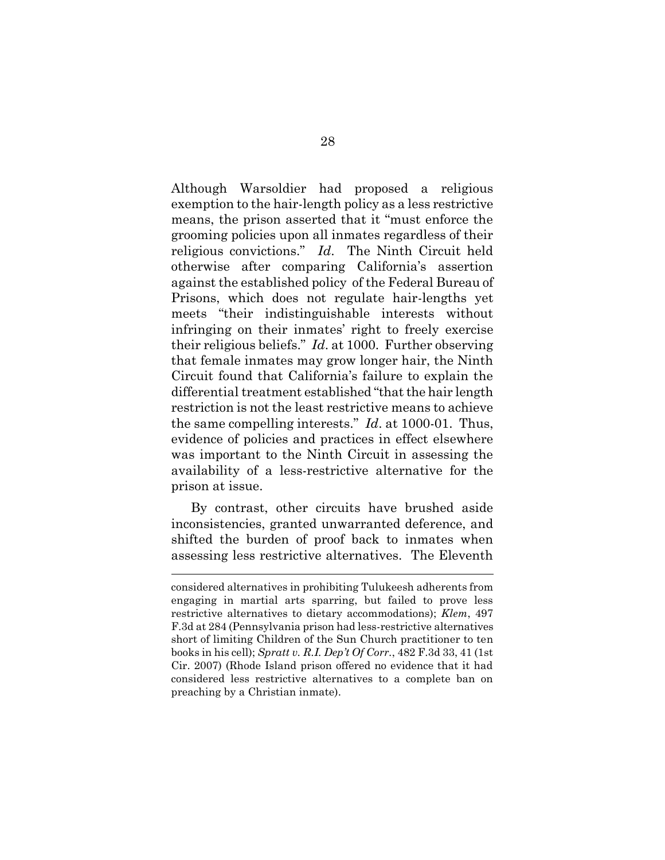Although Warsoldier had proposed a religious exemption to the hair-length policy as a less restrictive means, the prison asserted that it "must enforce the grooming policies upon all inmates regardless of their religious convictions." *Id*. The Ninth Circuit held otherwise after comparing California's assertion against the established policy of the Federal Bureau of Prisons, which does not regulate hair-lengths yet meets "their indistinguishable interests without infringing on their inmates' right to freely exercise their religious beliefs." *Id*. at 1000. Further observing that female inmates may grow longer hair, the Ninth Circuit found that California's failure to explain the differential treatment established "that the hair length restriction is not the least restrictive means to achieve the same compelling interests." *Id*. at 1000-01. Thus, evidence of policies and practices in effect elsewhere was important to the Ninth Circuit in assessing the availability of a less-restrictive alternative for the prison at issue.

By contrast, other circuits have brushed aside inconsistencies, granted unwarranted deference, and shifted the burden of proof back to inmates when assessing less restrictive alternatives. The Eleventh

considered alternatives in prohibiting Tulukeesh adherents from engaging in martial arts sparring, but failed to prove less restrictive alternatives to dietary accommodations); *Klem*, 497 F.3d at 284 (Pennsylvania prison had less-restrictive alternatives short of limiting Children of the Sun Church practitioner to ten books in his cell); *Spratt v. R.I. Dep't Of Corr.*, 482 F.3d 33, 41 (1st Cir. 2007) (Rhode Island prison offered no evidence that it had considered less restrictive alternatives to a complete ban on preaching by a Christian inmate).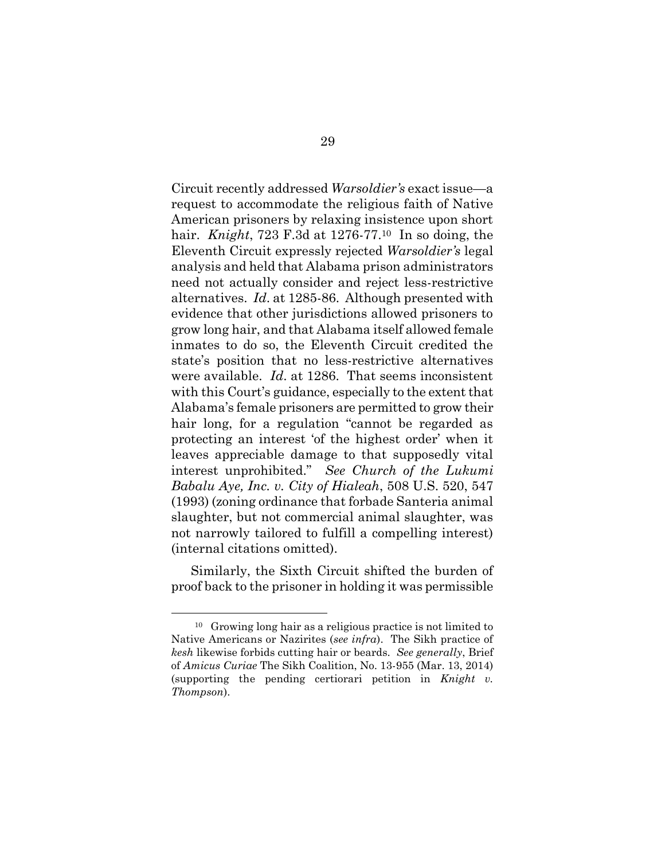Circuit recently addressed *Warsoldier's* exact issue—a request to accommodate the religious faith of Native American prisoners by relaxing insistence upon short hair. *Knight*, 723 F.3d at 1276-77.10 In so doing, the Eleventh Circuit expressly rejected *Warsoldier's* legal analysis and held that Alabama prison administrators need not actually consider and reject less-restrictive alternatives. *Id*. at 1285-86. Although presented with evidence that other jurisdictions allowed prisoners to grow long hair, and that Alabama itself allowed female inmates to do so, the Eleventh Circuit credited the state's position that no less-restrictive alternatives were available. *Id*. at 1286. That seems inconsistent with this Court's guidance, especially to the extent that Alabama's female prisoners are permitted to grow their hair long, for a regulation "cannot be regarded as protecting an interest 'of the highest order' when it leaves appreciable damage to that supposedly vital interest unprohibited." *See Church of the Lukumi Babalu Aye, Inc. v. City of Hialeah*, 508 U.S. 520, 547 (1993) (zoning ordinance that forbade Santeria animal slaughter, but not commercial animal slaughter, was not narrowly tailored to fulfill a compelling interest) (internal citations omitted).

Similarly, the Sixth Circuit shifted the burden of proof back to the prisoner in holding it was permissible

<sup>10</sup> Growing long hair as a religious practice is not limited to Native Americans or Nazirites (*see infra*). The Sikh practice of *kesh* likewise forbids cutting hair or beards. *See generally*, Brief of *Amicus Curiae* The Sikh Coalition, No. 13-955 (Mar. 13, 2014) (supporting the pending certiorari petition in *Knight v. Thompson*).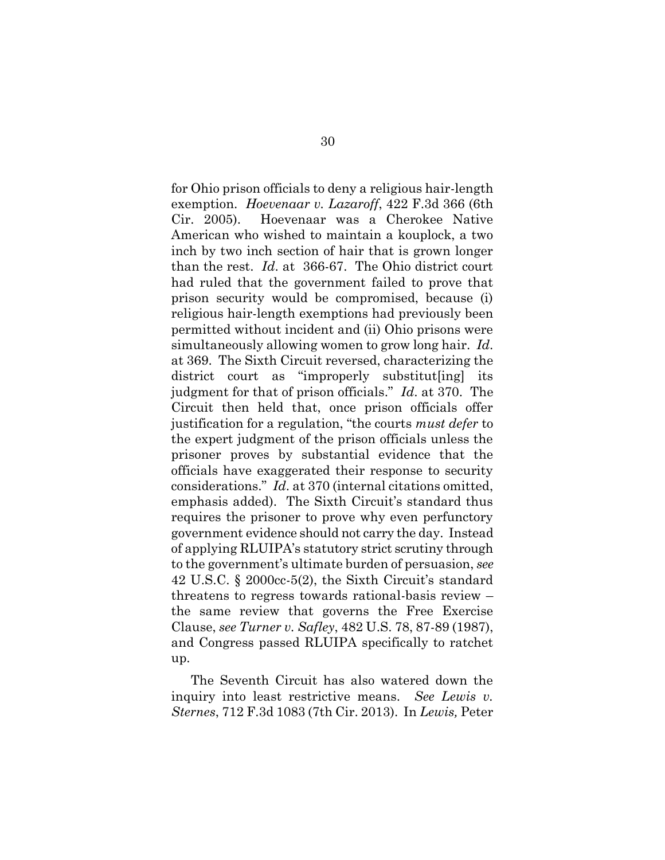for Ohio prison officials to deny a religious hair-length exemption. *Hoevenaar v. Lazaroff*, 422 F.3d 366 (6th Cir. 2005). Hoevenaar was a Cherokee Native American who wished to maintain a kouplock, a two inch by two inch section of hair that is grown longer than the rest. *Id*. at 366-67. The Ohio district court had ruled that the government failed to prove that prison security would be compromised, because (i) religious hair-length exemptions had previously been permitted without incident and (ii) Ohio prisons were simultaneously allowing women to grow long hair. *Id*. at 369. The Sixth Circuit reversed, characterizing the district court as "improperly substitut[ing] its judgment for that of prison officials." *Id*. at 370. The Circuit then held that, once prison officials offer justification for a regulation, "the courts *must defer* to the expert judgment of the prison officials unless the prisoner proves by substantial evidence that the officials have exaggerated their response to security considerations." *Id*. at 370 (internal citations omitted, emphasis added). The Sixth Circuit's standard thus requires the prisoner to prove why even perfunctory government evidence should not carry the day. Instead of applying RLUIPA's statutory strict scrutiny through to the government's ultimate burden of persuasion, *see* 42 U.S.C. § 2000cc-5(2), the Sixth Circuit's standard threatens to regress towards rational-basis review – the same review that governs the Free Exercise Clause, *see Turner v. Safley*, 482 U.S. 78, 87-89 (1987), and Congress passed RLUIPA specifically to ratchet up.

The Seventh Circuit has also watered down the inquiry into least restrictive means. *See Lewis v. Sternes*, 712 F.3d 1083 (7th Cir. 2013). In *Lewis,* Peter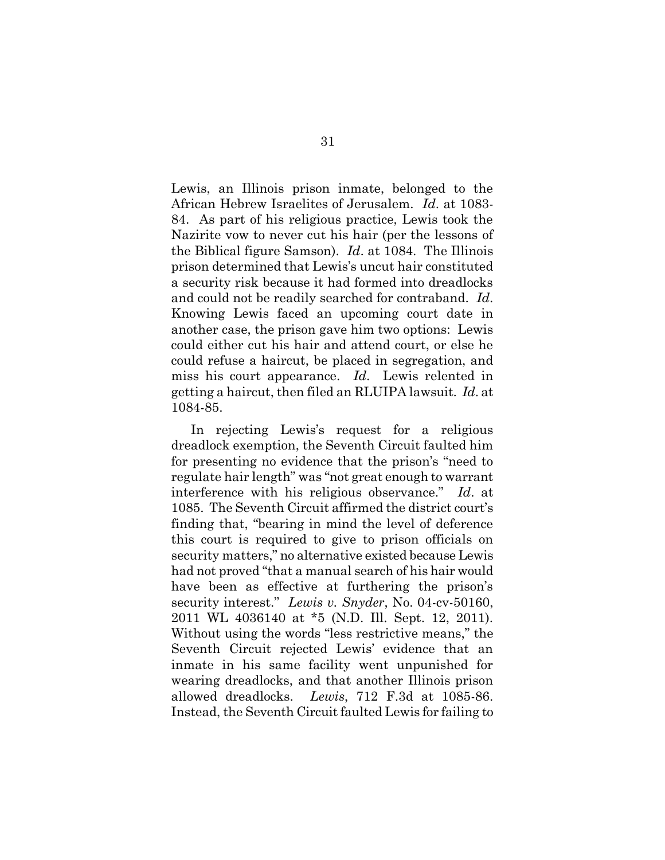Lewis, an Illinois prison inmate, belonged to the African Hebrew Israelites of Jerusalem. *Id*. at 1083- 84. As part of his religious practice, Lewis took the Nazirite vow to never cut his hair (per the lessons of the Biblical figure Samson). *Id*. at 1084. The Illinois prison determined that Lewis's uncut hair constituted a security risk because it had formed into dreadlocks and could not be readily searched for contraband. *Id*. Knowing Lewis faced an upcoming court date in another case, the prison gave him two options: Lewis could either cut his hair and attend court, or else he could refuse a haircut, be placed in segregation, and miss his court appearance. *Id*. Lewis relented in getting a haircut, then filed an RLUIPA lawsuit. *Id*. at 1084-85.

In rejecting Lewis's request for a religious dreadlock exemption, the Seventh Circuit faulted him for presenting no evidence that the prison's "need to regulate hair length" was "not great enough to warrant interference with his religious observance." *Id*. at 1085. The Seventh Circuit affirmed the district court's finding that, "bearing in mind the level of deference this court is required to give to prison officials on security matters," no alternative existed because Lewis had not proved "that a manual search of his hair would have been as effective at furthering the prison's security interest." *Lewis v. Snyder*, No. 04-cv-50160, 2011 WL 4036140 at \*5 (N.D. Ill. Sept. 12, 2011). Without using the words "less restrictive means," the Seventh Circuit rejected Lewis' evidence that an inmate in his same facility went unpunished for wearing dreadlocks, and that another Illinois prison allowed dreadlocks. *Lewis*, 712 F.3d at 1085-86. Instead, the Seventh Circuit faulted Lewis for failing to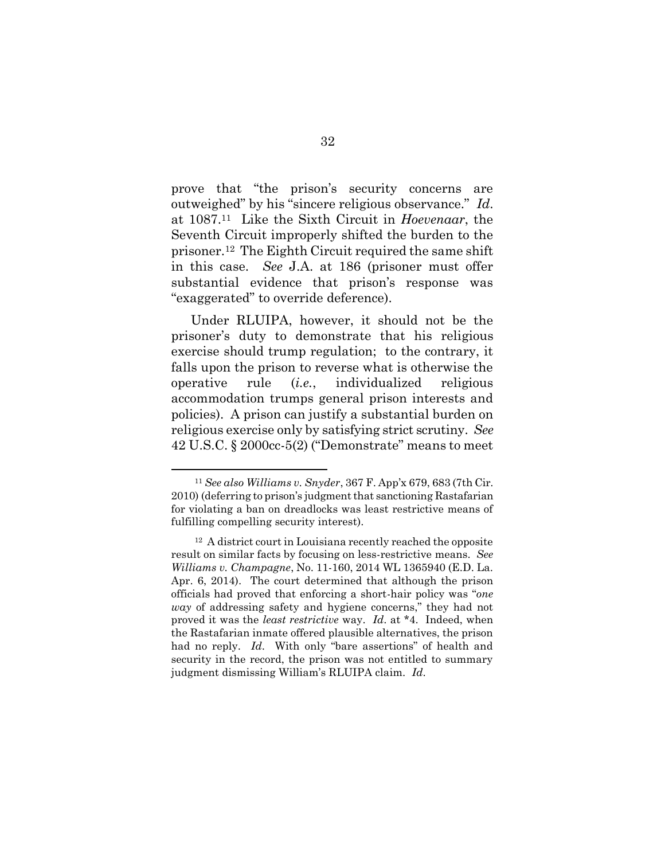prove that "the prison's security concerns are outweighed" by his "sincere religious observance." *Id*. at 1087.11 Like the Sixth Circuit in *Hoevenaar*, the Seventh Circuit improperly shifted the burden to the prisoner.12 The Eighth Circuit required the same shift in this case. *See* J.A. at 186 (prisoner must offer substantial evidence that prison's response was "exaggerated" to override deference).

Under RLUIPA, however, it should not be the prisoner's duty to demonstrate that his religious exercise should trump regulation; to the contrary, it falls upon the prison to reverse what is otherwise the operative rule (*i.e.*, individualized religious accommodation trumps general prison interests and policies). A prison can justify a substantial burden on religious exercise only by satisfying strict scrutiny. *See*  42 U.S.C. § 2000cc-5(2) ("Demonstrate" means to meet

<sup>11</sup> *See also Williams v. Snyder*, 367 F. App'x 679, 683 (7th Cir. 2010) (deferring to prison's judgment that sanctioning Rastafarian for violating a ban on dreadlocks was least restrictive means of fulfilling compelling security interest).

<sup>12</sup> A district court in Louisiana recently reached the opposite result on similar facts by focusing on less-restrictive means. *See Williams v. Champagne*, No. 11-160, 2014 WL 1365940 (E.D. La. Apr. 6, 2014). The court determined that although the prison officials had proved that enforcing a short-hair policy was "*one way* of addressing safety and hygiene concerns," they had not proved it was the *least restrictive* way. *Id*. at \*4. Indeed, when the Rastafarian inmate offered plausible alternatives, the prison had no reply. *Id*. With only "bare assertions" of health and security in the record, the prison was not entitled to summary judgment dismissing William's RLUIPA claim. *Id*.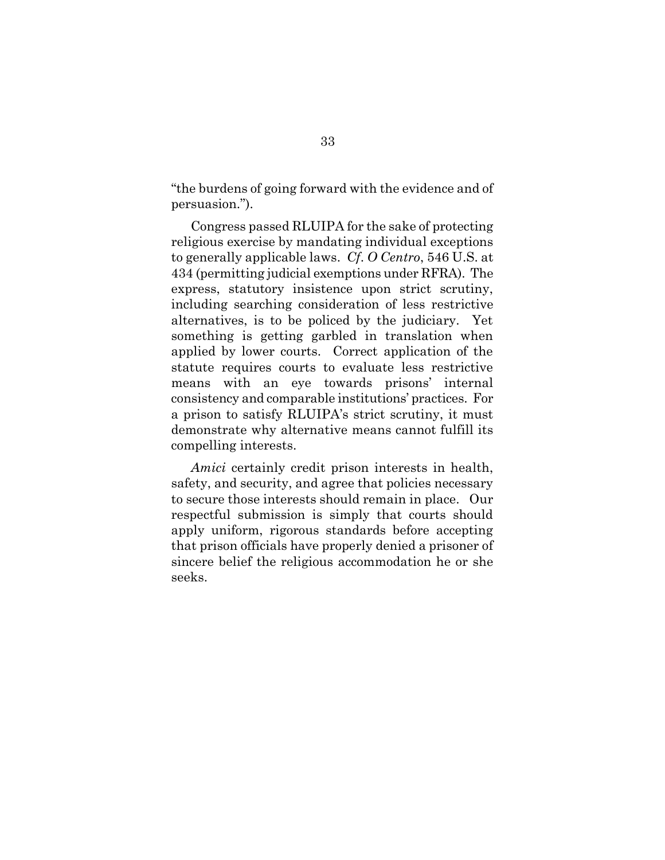"the burdens of going forward with the evidence and of persuasion.").

Congress passed RLUIPA for the sake of protecting religious exercise by mandating individual exceptions to generally applicable laws. *Cf*. *O Centro*, 546 U.S. at 434 (permitting judicial exemptions under RFRA). The express, statutory insistence upon strict scrutiny, including searching consideration of less restrictive alternatives, is to be policed by the judiciary. Yet something is getting garbled in translation when applied by lower courts. Correct application of the statute requires courts to evaluate less restrictive means with an eye towards prisons' internal consistency and comparable institutions' practices. For a prison to satisfy RLUIPA's strict scrutiny, it must demonstrate why alternative means cannot fulfill its compelling interests.

*Amici* certainly credit prison interests in health, safety, and security, and agree that policies necessary to secure those interests should remain in place. Our respectful submission is simply that courts should apply uniform, rigorous standards before accepting that prison officials have properly denied a prisoner of sincere belief the religious accommodation he or she seeks.